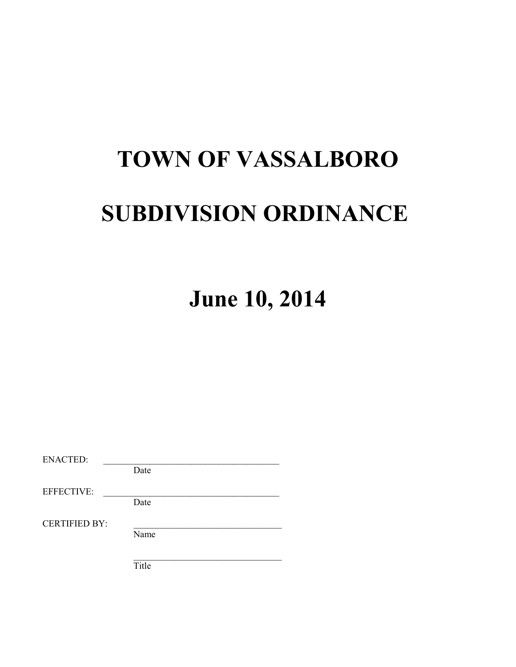# **TOWN OF VASSALBORO SUBDIVISION ORDINANCE**

**June 10, 2014**

| Date |       |
|------|-------|
|      |       |
|      |       |
| Date |       |
|      |       |
| Name |       |
|      |       |
|      |       |
|      | Title |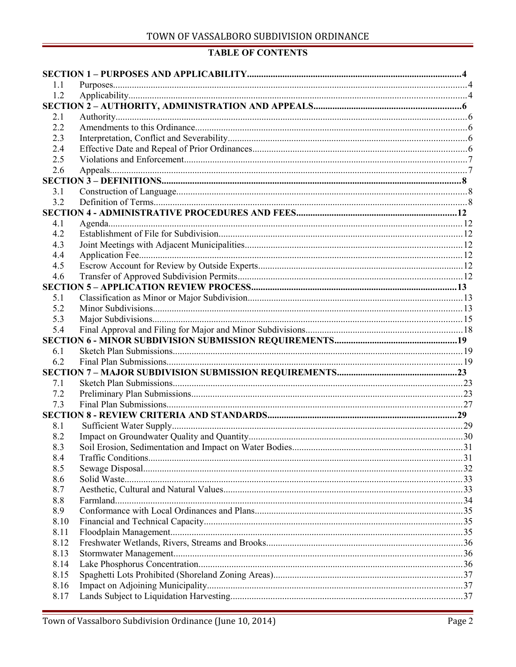## **TABLE OF CONTENTS**

| 1.1          |  |
|--------------|--|
| 1.2          |  |
|              |  |
| 2.1          |  |
| 2.2          |  |
| 2.3          |  |
| 2.4          |  |
| 2.5          |  |
| 2.6          |  |
|              |  |
| 3.1          |  |
| 3.2          |  |
|              |  |
| 4.1          |  |
| 4.2          |  |
| 4.3          |  |
| 4.4          |  |
| 4.5          |  |
| 4.6          |  |
|              |  |
| 5.1          |  |
| 5.2          |  |
| 5.3          |  |
| 5.4          |  |
|              |  |
|              |  |
| 6.1          |  |
| 6.2          |  |
|              |  |
| 7.1          |  |
| 7.2          |  |
| 7.3          |  |
|              |  |
| 8.1          |  |
| 8.2          |  |
| 8.3          |  |
| 8.4          |  |
| 8.5          |  |
| 8.6          |  |
| 8.7          |  |
| 8.8          |  |
| 8.9          |  |
| 8.10         |  |
| 8.11         |  |
| 8.12         |  |
| 8.13         |  |
| 8.14         |  |
| 8.15         |  |
| 8.16<br>8.17 |  |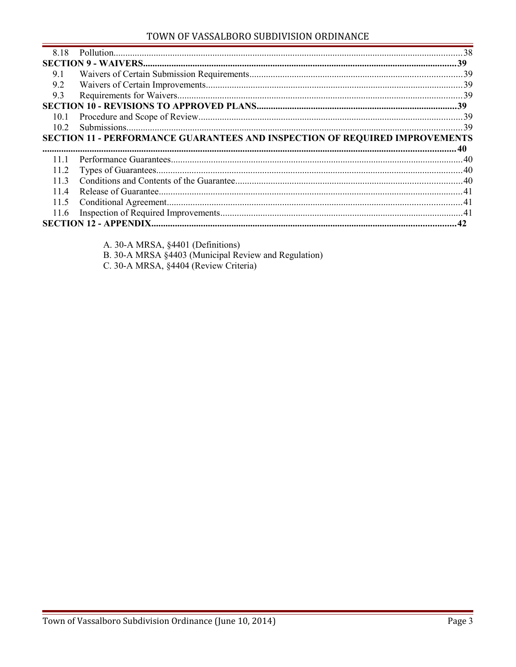## TOWN OF VASSALBORO SUBDIVISION ORDINANCE

| 8.18 |                                                                             |     |
|------|-----------------------------------------------------------------------------|-----|
|      |                                                                             |     |
| 9.1  |                                                                             |     |
| 9.2  |                                                                             |     |
| 9.3  |                                                                             |     |
|      |                                                                             |     |
| 10.1 |                                                                             |     |
| 102  |                                                                             | -39 |
|      | SECTION 11 - PERFORMANCE GUARANTEES AND INSPECTION OF REQUIRED IMPROVEMENTS |     |
|      |                                                                             |     |
|      |                                                                             |     |
| 11 1 |                                                                             |     |
| 11.2 |                                                                             |     |
| 113  |                                                                             |     |
| 114  |                                                                             |     |
| 11.5 |                                                                             |     |
| 11.6 |                                                                             |     |
|      |                                                                             |     |

A. 30-A MRSA, §4401 (Definitions)

B. 30-A MRSA §4403 (Municipal Review and Regulation)

C. 30-A MRSA, §4404 (Review Criteria)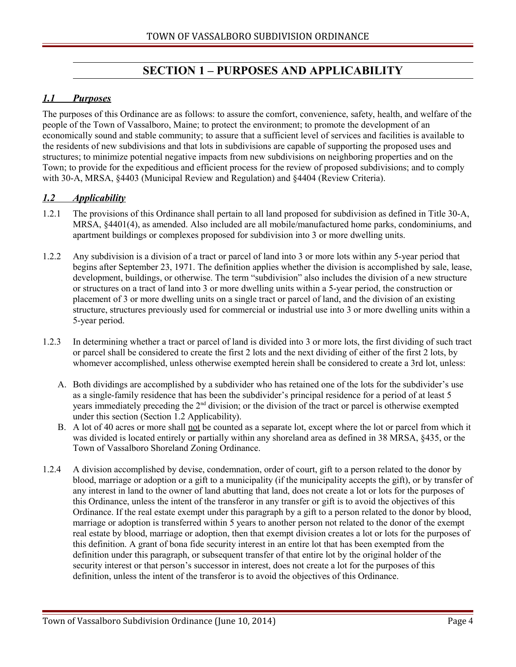# <span id="page-3-2"></span>**SECTION 1 – PURPOSES AND APPLICABILITY**

## <span id="page-3-1"></span> *1.1 Purposes*

The purposes of this Ordinance are as follows: to assure the comfort, convenience, safety, health, and welfare of the people of the Town of Vassalboro, Maine; to protect the environment; to promote the development of an economically sound and stable community; to assure that a sufficient level of services and facilities is available to the residents of new subdivisions and that lots in subdivisions are capable of supporting the proposed uses and structures; to minimize potential negative impacts from new subdivisions on neighboring properties and on the Town; to provide for the expeditious and efficient process for the review of proposed subdivisions; and to comply with 30-A, MRSA, §4403 (Municipal Review and Regulation) and §4404 (Review Criteria).

#### <span id="page-3-0"></span> *1.2 Applicability*

- 1.2.1 The provisions of this Ordinance shall pertain to all land proposed for subdivision as defined in Title 30-A, MRSA, §4401(4), as amended. Also included are all mobile/manufactured home parks, condominiums, and apartment buildings or complexes proposed for subdivision into 3 or more dwelling units.
- 1.2.2 Any subdivision is a division of a tract or parcel of land into 3 or more lots within any 5-year period that begins after September 23, 1971. The definition applies whether the division is accomplished by sale, lease, development, buildings, or otherwise. The term "subdivision" also includes the division of a new structure or structures on a tract of land into 3 or more dwelling units within a 5-year period, the construction or placement of 3 or more dwelling units on a single tract or parcel of land, and the division of an existing structure, structures previously used for commercial or industrial use into 3 or more dwelling units within a 5-year period.
- 1.2.3 In determining whether a tract or parcel of land is divided into 3 or more lots, the first dividing of such tract or parcel shall be considered to create the first 2 lots and the next dividing of either of the first 2 lots, by whomever accomplished, unless otherwise exempted herein shall be considered to create a 3rd lot, unless:
	- A. Both dividings are accomplished by a subdivider who has retained one of the lots for the subdivider's use as a single-family residence that has been the subdivider's principal residence for a period of at least 5 years immediately preceding the 2nd division; or the division of the tract or parcel is otherwise exempted under this section (Section 1.2 Applicability).
	- B. A lot of 40 acres or more shall not be counted as a separate lot, except where the lot or parcel from which it was divided is located entirely or partially within any shoreland area as defined in 38 MRSA, §435, or the Town of Vassalboro Shoreland Zoning Ordinance.
- 1.2.4 A division accomplished by devise, condemnation, order of court, gift to a person related to the donor by blood, marriage or adoption or a gift to a municipality (if the municipality accepts the gift), or by transfer of any interest in land to the owner of land abutting that land, does not create a lot or lots for the purposes of this Ordinance, unless the intent of the transferor in any transfer or gift is to avoid the objectives of this Ordinance. If the real estate exempt under this paragraph by a gift to a person related to the donor by blood, marriage or adoption is transferred within 5 years to another person not related to the donor of the exempt real estate by blood, marriage or adoption, then that exempt division creates a lot or lots for the purposes of this definition. A grant of bona fide security interest in an entire lot that has been exempted from the definition under this paragraph, or subsequent transfer of that entire lot by the original holder of the security interest or that person's successor in interest, does not create a lot for the purposes of this definition, unless the intent of the transferor is to avoid the objectives of this Ordinance.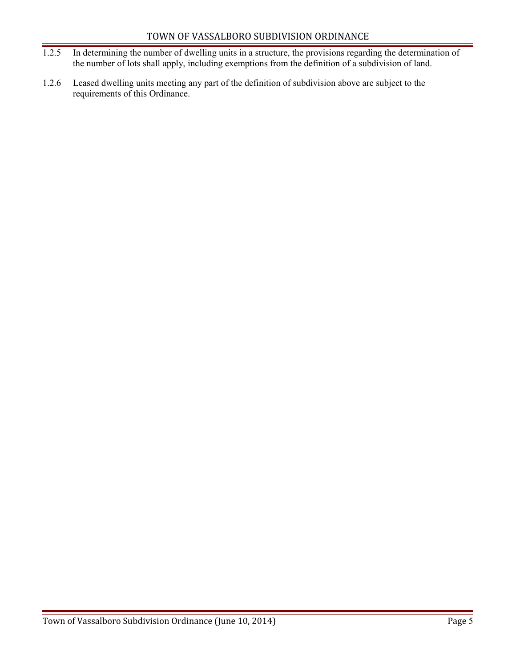- 1.2.5 In determining the number of dwelling units in a structure, the provisions regarding the determination of the number of lots shall apply, including exemptions from the definition of a subdivision of land.
- 1.2.6 Leased dwelling units meeting any part of the definition of subdivision above are subject to the requirements of this Ordinance.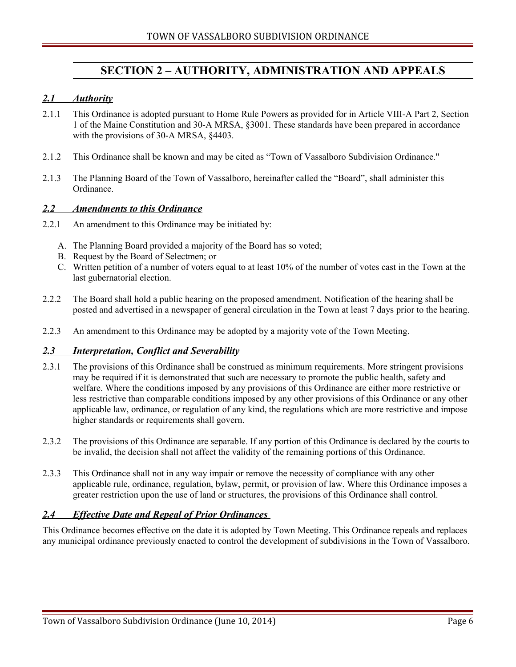## <span id="page-5-4"></span>**SECTION 2 – AUTHORITY, ADMINISTRATION AND APPEALS**

#### <span id="page-5-3"></span> *2.1 Authority*

- 2.1.1 This Ordinance is adopted pursuant to Home Rule Powers as provided for in Article VIII-A Part 2, Section 1 of the Maine Constitution and 30-A MRSA, §3001. These standards have been prepared in accordance with the provisions of 30-A MRSA, §4403.
- 2.1.2 This Ordinance shall be known and may be cited as "Town of Vassalboro Subdivision Ordinance."
- 2.1.3 The Planning Board of the Town of Vassalboro, hereinafter called the "Board", shall administer this Ordinance.

#### <span id="page-5-2"></span> *2.2 Amendments to this Ordinance*

- 2.2.1 An amendment to this Ordinance may be initiated by:
	- A. The Planning Board provided a majority of the Board has so voted;
	- B. Request by the Board of Selectmen; or
	- C. Written petition of a number of voters equal to at least 10% of the number of votes cast in the Town at the last gubernatorial election.
- 2.2.2 The Board shall hold a public hearing on the proposed amendment. Notification of the hearing shall be posted and advertised in a newspaper of general circulation in the Town at least 7 days prior to the hearing.
- 2.2.3 An amendment to this Ordinance may be adopted by a majority vote of the Town Meeting.

#### <span id="page-5-1"></span> *2.3 Interpretation, Conflict and Severability*

- 2.3.1 The provisions of this Ordinance shall be construed as minimum requirements. More stringent provisions may be required if it is demonstrated that such are necessary to promote the public health, safety and welfare. Where the conditions imposed by any provisions of this Ordinance are either more restrictive or less restrictive than comparable conditions imposed by any other provisions of this Ordinance or any other applicable law, ordinance, or regulation of any kind, the regulations which are more restrictive and impose higher standards or requirements shall govern.
- 2.3.2 The provisions of this Ordinance are separable. If any portion of this Ordinance is declared by the courts to be invalid, the decision shall not affect the validity of the remaining portions of this Ordinance.
- 2.3.3 This Ordinance shall not in any way impair or remove the necessity of compliance with any other applicable rule, ordinance, regulation, bylaw, permit, or provision of law. Where this Ordinance imposes a greater restriction upon the use of land or structures, the provisions of this Ordinance shall control.

#### <span id="page-5-0"></span> *2.4 Effective Date and Repeal of Prior Ordinances*

This Ordinance becomes effective on the date it is adopted by Town Meeting. This Ordinance repeals and replaces any municipal ordinance previously enacted to control the development of subdivisions in the Town of Vassalboro.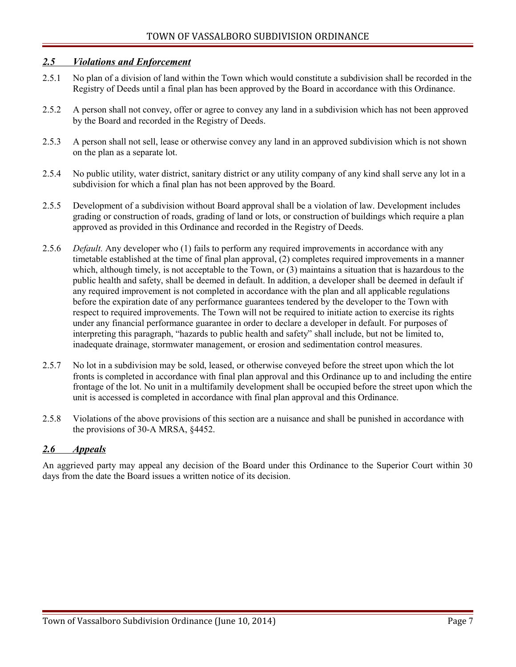#### <span id="page-6-1"></span> *2.5 Violations and Enforcement*

- 2.5.1 No plan of a division of land within the Town which would constitute a subdivision shall be recorded in the Registry of Deeds until a final plan has been approved by the Board in accordance with this Ordinance.
- 2.5.2 A person shall not convey, offer or agree to convey any land in a subdivision which has not been approved by the Board and recorded in the Registry of Deeds.
- 2.5.3 A person shall not sell, lease or otherwise convey any land in an approved subdivision which is not shown on the plan as a separate lot.
- 2.5.4 No public utility, water district, sanitary district or any utility company of any kind shall serve any lot in a subdivision for which a final plan has not been approved by the Board.
- 2.5.5 Development of a subdivision without Board approval shall be a violation of law. Development includes grading or construction of roads, grading of land or lots, or construction of buildings which require a plan approved as provided in this Ordinance and recorded in the Registry of Deeds.
- 2.5.6 *Default.* Any developer who (1) fails to perform any required improvements in accordance with any timetable established at the time of final plan approval, (2) completes required improvements in a manner which, although timely, is not acceptable to the Town, or (3) maintains a situation that is hazardous to the public health and safety, shall be deemed in default. In addition, a developer shall be deemed in default if any required improvement is not completed in accordance with the plan and all applicable regulations before the expiration date of any performance guarantees tendered by the developer to the Town with respect to required improvements. The Town will not be required to initiate action to exercise its rights under any financial performance guarantee in order to declare a developer in default. For purposes of interpreting this paragraph, "hazards to public health and safety" shall include, but not be limited to, inadequate drainage, stormwater management, or erosion and sedimentation control measures.
- 2.5.7 No lot in a subdivision may be sold, leased, or otherwise conveyed before the street upon which the lot fronts is completed in accordance with final plan approval and this Ordinance up to and including the entire frontage of the lot. No unit in a multifamily development shall be occupied before the street upon which the unit is accessed is completed in accordance with final plan approval and this Ordinance.
- 2.5.8 Violations of the above provisions of this section are a nuisance and shall be punished in accordance with the provisions of 30-A MRSA, §4452.

#### <span id="page-6-0"></span> *2.6 Appeals*

An aggrieved party may appeal any decision of the Board under this Ordinance to the Superior Court within 30 days from the date the Board issues a written notice of its decision.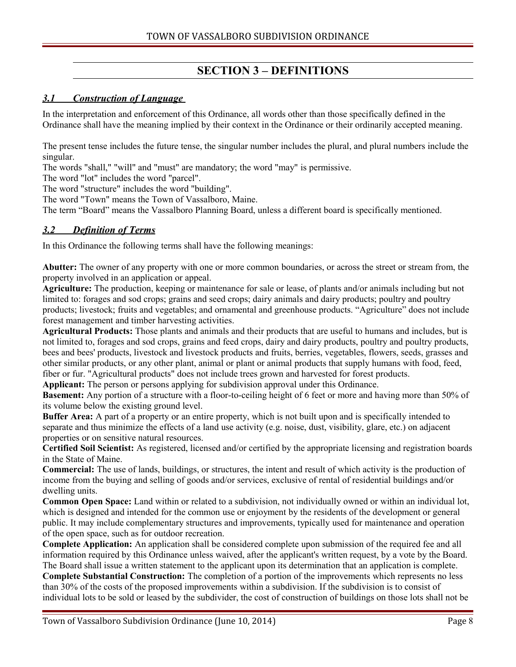# <span id="page-7-2"></span>**SECTION 3 – DEFINITIONS**

## <span id="page-7-1"></span> *3.1 Construction of Language*

In the interpretation and enforcement of this Ordinance, all words other than those specifically defined in the Ordinance shall have the meaning implied by their context in the Ordinance or their ordinarily accepted meaning.

The present tense includes the future tense, the singular number includes the plural, and plural numbers include the singular.

The words "shall," "will" and "must" are mandatory; the word "may" is permissive.

The word "lot" includes the word "parcel".

The word "structure" includes the word "building".

The word "Town" means the Town of Vassalboro, Maine.

The term "Board" means the Vassalboro Planning Board, unless a different board is specifically mentioned.

#### <span id="page-7-0"></span> *3.2 Definition of Terms*

In this Ordinance the following terms shall have the following meanings:

**Abutter:** The owner of any property with one or more common boundaries, or across the street or stream from, the property involved in an application or appeal.

**Agriculture:** The production, keeping or maintenance for sale or lease, of plants and/or animals including but not limited to: forages and sod crops; grains and seed crops; dairy animals and dairy products; poultry and poultry products; livestock; fruits and vegetables; and ornamental and greenhouse products. "Agriculture" does not include forest management and timber harvesting activities.

**Agricultural Products:** Those plants and animals and their products that are useful to humans and includes, but is not limited to, forages and sod crops, grains and feed crops, dairy and dairy products, poultry and poultry products, bees and bees' products, livestock and livestock products and fruits, berries, vegetables, flowers, seeds, grasses and other similar products, or any other plant, animal or plant or animal products that supply humans with food, feed, fiber or fur. "Agricultural products" does not include trees grown and harvested for forest products.

**Applicant:** The person or persons applying for subdivision approval under this Ordinance.

**Basement:** Any portion of a structure with a floor-to-ceiling height of 6 feet or more and having more than 50% of its volume below the existing ground level.

**Buffer Area:** A part of a property or an entire property, which is not built upon and is specifically intended to separate and thus minimize the effects of a land use activity (e.g. noise, dust, visibility, glare, etc.) on adjacent properties or on sensitive natural resources.

**Certified Soil Scientist:** As registered, licensed and/or certified by the appropriate licensing and registration boards in the State of Maine.

**Commercial:** The use of lands, buildings, or structures, the intent and result of which activity is the production of income from the buying and selling of goods and/or services, exclusive of rental of residential buildings and/or dwelling units.

**Common Open Space:** Land within or related to a subdivision, not individually owned or within an individual lot, which is designed and intended for the common use or enjoyment by the residents of the development or general public. It may include complementary structures and improvements, typically used for maintenance and operation of the open space, such as for outdoor recreation.

**Complete Application:** An application shall be considered complete upon submission of the required fee and all information required by this Ordinance unless waived, after the applicant's written request, by a vote by the Board. The Board shall issue a written statement to the applicant upon its determination that an application is complete.

**Complete Substantial Construction:** The completion of a portion of the improvements which represents no less than 30% of the costs of the proposed improvements within a subdivision. If the subdivision is to consist of individual lots to be sold or leased by the subdivider, the cost of construction of buildings on those lots shall not be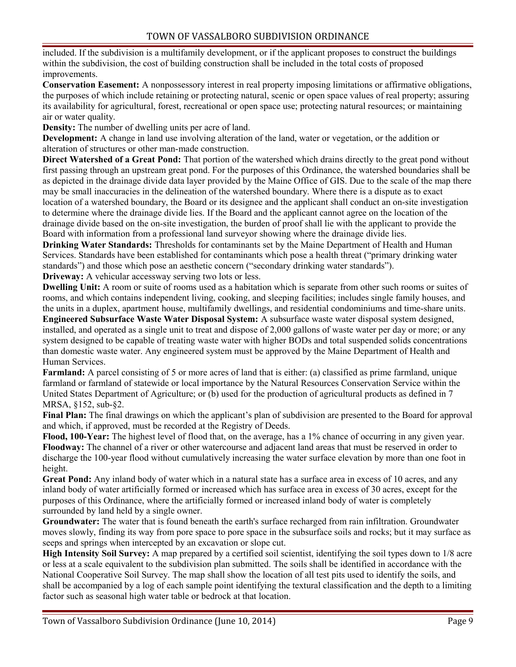included. If the subdivision is a multifamily development, or if the applicant proposes to construct the buildings within the subdivision, the cost of building construction shall be included in the total costs of proposed improvements.

**Conservation Easement:** A nonpossessory interest in real property imposing limitations or affirmative obligations, the purposes of which include retaining or protecting natural, scenic or open space values of real property; assuring its availability for agricultural, forest, recreational or open space use; protecting natural resources; or maintaining air or water quality.

**Density:** The number of dwelling units per acre of land.

**Development:** A change in land use involving alteration of the land, water or vegetation, or the addition or alteration of structures or other man-made construction.

**Direct Watershed of a Great Pond:** That portion of the watershed which drains directly to the great pond without first passing through an upstream great pond. For the purposes of this Ordinance, the watershed boundaries shall be as depicted in the drainage divide data layer provided by the Maine Office of GIS. Due to the scale of the map there may be small inaccuracies in the delineation of the watershed boundary. Where there is a dispute as to exact location of a watershed boundary, the Board or its designee and the applicant shall conduct an on-site investigation to determine where the drainage divide lies. If the Board and the applicant cannot agree on the location of the drainage divide based on the on-site investigation, the burden of proof shall lie with the applicant to provide the Board with information from a professional land surveyor showing where the drainage divide lies.

**Drinking Water Standards:** Thresholds for contaminants set by the Maine Department of Health and Human Services. Standards have been established for contaminants which pose a health threat ("primary drinking water standards") and those which pose an aesthetic concern ("secondary drinking water standards"). **Driveway:** A vehicular accessway serving two lots or less.

**Dwelling Unit:** A room or suite of rooms used as a habitation which is separate from other such rooms or suites of rooms, and which contains independent living, cooking, and sleeping facilities; includes single family houses, and the units in a duplex, apartment house, multifamily dwellings, and residential condominiums and time-share units.

**Engineered Subsurface Waste Water Disposal System:** A subsurface waste water disposal system designed, installed, and operated as a single unit to treat and dispose of 2,000 gallons of waste water per day or more; or any system designed to be capable of treating waste water with higher BODs and total suspended solids concentrations than domestic waste water. Any engineered system must be approved by the Maine Department of Health and Human Services.

**Farmland:** A parcel consisting of 5 or more acres of land that is either: (a) classified as prime farmland, unique farmland or farmland of statewide or local importance by the Natural Resources Conservation Service within the United States Department of Agriculture; or (b) used for the production of agricultural products as defined in 7 MRSA, §152, sub-§2.

**Final Plan:** The final drawings on which the applicant's plan of subdivision are presented to the Board for approval and which, if approved, must be recorded at the Registry of Deeds.

**Flood, 100-Year:** The highest level of flood that, on the average, has a 1% chance of occurring in any given year. **Floodway:** The channel of a river or other watercourse and adjacent land areas that must be reserved in order to discharge the 100-year flood without cumulatively increasing the water surface elevation by more than one foot in height.

**Great Pond:** Any inland body of water which in a natural state has a surface area in excess of 10 acres, and any inland body of water artificially formed or increased which has surface area in excess of 30 acres, except for the purposes of this Ordinance, where the artificially formed or increased inland body of water is completely surrounded by land held by a single owner.

**Groundwater:** The water that is found beneath the earth's surface recharged from rain infiltration. Groundwater moves slowly, finding its way from pore space to pore space in the subsurface soils and rocks; but it may surface as seeps and springs when intercepted by an excavation or slope cut.

**High Intensity Soil Survey:** A map prepared by a certified soil scientist, identifying the soil types down to 1/8 acre or less at a scale equivalent to the subdivision plan submitted. The soils shall be identified in accordance with the National Cooperative Soil Survey. The map shall show the location of all test pits used to identify the soils, and shall be accompanied by a log of each sample point identifying the textural classification and the depth to a limiting factor such as seasonal high water table or bedrock at that location.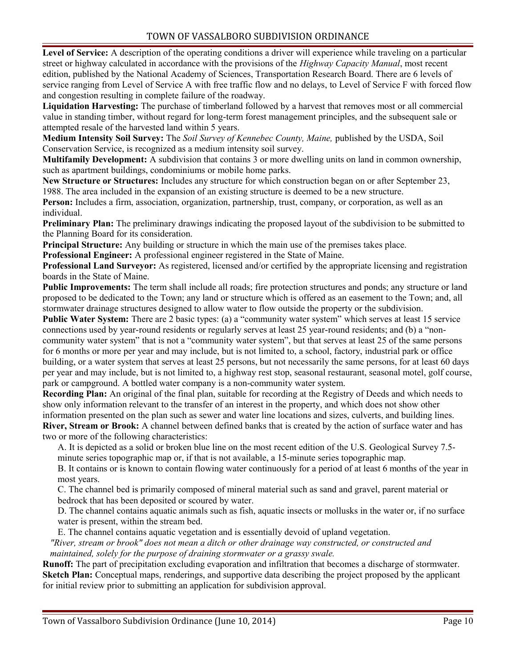**Level of Service:** A description of the operating conditions a driver will experience while traveling on a particular street or highway calculated in accordance with the provisions of the *Highway Capacity Manual*, most recent edition, published by the National Academy of Sciences, Transportation Research Board. There are 6 levels of service ranging from Level of Service A with free traffic flow and no delays, to Level of Service F with forced flow and congestion resulting in complete failure of the roadway.

**Liquidation Harvesting:** The purchase of timberland followed by a harvest that removes most or all commercial value in standing timber, without regard for long-term forest management principles, and the subsequent sale or attempted resale of the harvested land within 5 years.

**Medium Intensity Soil Survey:** The *Soil Survey of Kennebec County, Maine,* published by the USDA, Soil Conservation Service, is recognized as a medium intensity soil survey.

**Multifamily Development:** A subdivision that contains 3 or more dwelling units on land in common ownership, such as apartment buildings, condominiums or mobile home parks.

**New Structure or Structures:** Includes any structure for which construction began on or after September 23, 1988. The area included in the expansion of an existing structure is deemed to be a new structure.

**Person:** Includes a firm, association, organization, partnership, trust, company, or corporation, as well as an individual.

**Preliminary Plan:** The preliminary drawings indicating the proposed layout of the subdivision to be submitted to the Planning Board for its consideration.

**Principal Structure:** Any building or structure in which the main use of the premises takes place.

**Professional Engineer:** A professional engineer registered in the State of Maine.

**Professional Land Surveyor:** As registered, licensed and/or certified by the appropriate licensing and registration boards in the State of Maine.

**Public Improvements:** The term shall include all roads; fire protection structures and ponds; any structure or land proposed to be dedicated to the Town; any land or structure which is offered as an easement to the Town; and, all stormwater drainage structures designed to allow water to flow outside the property or the subdivision.

**Public Water System:** There are 2 basic types: (a) a "community water system" which serves at least 15 service connections used by year-round residents or regularly serves at least 25 year-round residents; and (b) a "noncommunity water system" that is not a "community water system", but that serves at least 25 of the same persons for 6 months or more per year and may include, but is not limited to, a school, factory, industrial park or office building, or a water system that serves at least 25 persons, but not necessarily the same persons, for at least 60 days per year and may include, but is not limited to, a highway rest stop, seasonal restaurant, seasonal motel, golf course, park or campground. A bottled water company is a non-community water system.

**Recording Plan:** An original of the final plan, suitable for recording at the Registry of Deeds and which needs to show only information relevant to the transfer of an interest in the property, and which does not show other information presented on the plan such as sewer and water line locations and sizes, culverts, and building lines. **River, Stream or Brook:** A channel between defined banks that is created by the action of surface water and has

two or more of the following characteristics:

A. It is depicted as a solid or broken blue line on the most recent edition of the U.S. Geological Survey 7.5 minute series topographic map or, if that is not available, a 15-minute series topographic map.

B. It contains or is known to contain flowing water continuously for a period of at least 6 months of the year in most years.

C. The channel bed is primarily composed of mineral material such as sand and gravel, parent material or bedrock that has been deposited or scoured by water.

D. The channel contains aquatic animals such as fish, aquatic insects or mollusks in the water or, if no surface water is present, within the stream bed.

E. The channel contains aquatic vegetation and is essentially devoid of upland vegetation.

*"River, stream or brook" does not mean a ditch or other drainage way constructed, or constructed and maintained, solely for the purpose of draining stormwater or a grassy swale.*

**Runoff:** The part of precipitation excluding evaporation and infiltration that becomes a discharge of stormwater. **Sketch Plan:** Conceptual maps, renderings, and supportive data describing the project proposed by the applicant for initial review prior to submitting an application for subdivision approval.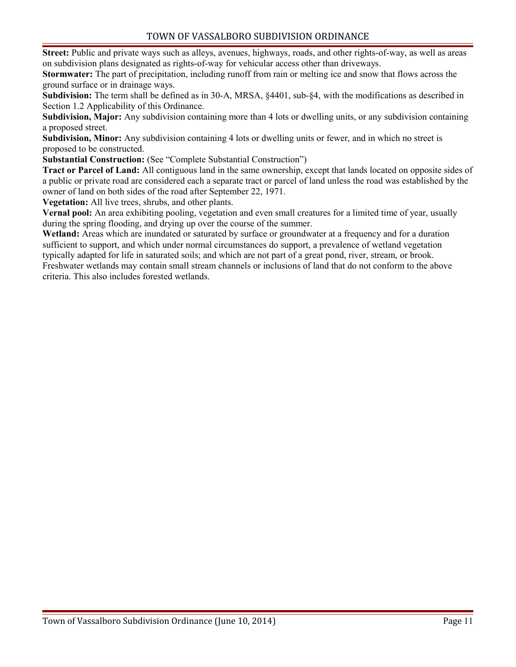**Street:** Public and private ways such as alleys, avenues, highways, roads, and other rights-of-way, as well as areas on subdivision plans designated as rights-of-way for vehicular access other than driveways.

**Stormwater:** The part of precipitation, including runoff from rain or melting ice and snow that flows across the ground surface or in drainage ways.

**Subdivision:** The term shall be defined as in 30-A, MRSA, §4401, sub-§4, with the modifications as described in Section 1.2 Applicability of this Ordinance.

**Subdivision, Major:** Any subdivision containing more than 4 lots or dwelling units, or any subdivision containing a proposed street.

**Subdivision, Minor:** Any subdivision containing 4 lots or dwelling units or fewer, and in which no street is proposed to be constructed.

**Substantial Construction:** (See "Complete Substantial Construction")

**Tract or Parcel of Land:** All contiguous land in the same ownership, except that lands located on opposite sides of a public or private road are considered each a separate tract or parcel of land unless the road was established by the owner of land on both sides of the road after September 22, 1971.

**Vegetation:** All live trees, shrubs, and other plants.

**Vernal pool:** An area exhibiting pooling, vegetation and even small creatures for a limited time of year, usually during the spring flooding, and drying up over the course of the summer.

**Wetland:** Areas which are inundated or saturated by surface or groundwater at a frequency and for a duration sufficient to support, and which under normal circumstances do support, a prevalence of wetland vegetation typically adapted for life in saturated soils; and which are not part of a great pond, river, stream, or brook. Freshwater wetlands may contain small stream channels or inclusions of land that do not conform to the above criteria. This also includes forested wetlands.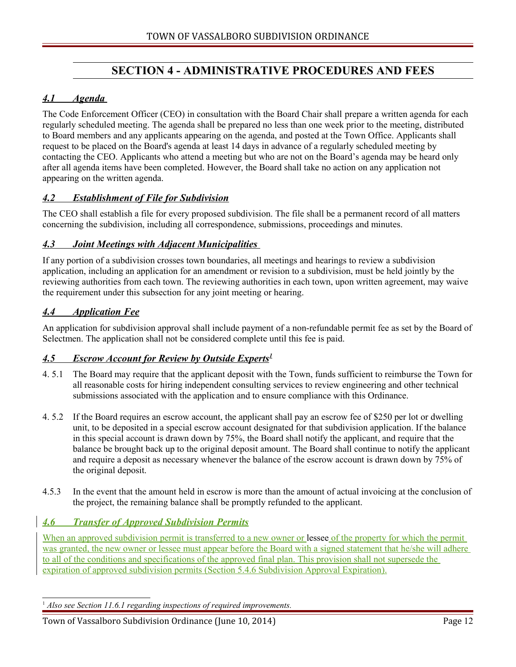## <span id="page-11-6"></span>**SECTION 4 - ADMINISTRATIVE PROCEDURES AND FEES**

## <span id="page-11-5"></span> *4.1 Agenda*

The Code Enforcement Officer (CEO) in consultation with the Board Chair shall prepare a written agenda for each regularly scheduled meeting. The agenda shall be prepared no less than one week prior to the meeting, distributed to Board members and any applicants appearing on the agenda, and posted at the Town Office. Applicants shall request to be placed on the Board's agenda at least 14 days in advance of a regularly scheduled meeting by contacting the CEO. Applicants who attend a meeting but who are not on the Board's agenda may be heard only after all agenda items have been completed. However, the Board shall take no action on any application not appearing on the written agenda.

#### <span id="page-11-4"></span> *4.2 Establishment of File for Subdivision*

The CEO shall establish a file for every proposed subdivision. The file shall be a permanent record of all matters concerning the subdivision, including all correspondence, submissions, proceedings and minutes.

#### <span id="page-11-3"></span> *4.3 Joint Meetings with Adjacent Municipalities*

If any portion of a subdivision crosses town boundaries, all meetings and hearings to review a subdivision application, including an application for an amendment or revision to a subdivision, must be held jointly by the reviewing authorities from each town. The reviewing authorities in each town, upon written agreement, may waive the requirement under this subsection for any joint meeting or hearing.

#### <span id="page-11-2"></span> *4.4 Application Fee*

An application for subdivision approval shall include payment of a non-refundable permit fee as set by the Board of Selectmen. The application shall not be considered complete until this fee is paid.

#### <span id="page-11-0"></span> *4.5 Escrow Account for Review by Outside Experts[1](#page-11-7)*

- 4. 5.1 The Board may require that the applicant deposit with the Town, funds sufficient to reimburse the Town for all reasonable costs for hiring independent consulting services to review engineering and other technical submissions associated with the application and to ensure compliance with this Ordinance.
- 4. 5.2 If the Board requires an escrow account, the applicant shall pay an escrow fee of \$250 per lot or dwelling unit, to be deposited in a special escrow account designated for that subdivision application. If the balance in this special account is drawn down by 75%, the Board shall notify the applicant, and require that the balance be brought back up to the original deposit amount. The Board shall continue to notify the applicant and require a deposit as necessary whenever the balance of the escrow account is drawn down by 75% of the original deposit.
- 4.5.3 In the event that the amount held in escrow is more than the amount of actual invoicing at the conclusion of the project, the remaining balance shall be promptly refunded to the applicant.

#### <span id="page-11-1"></span> *4.6 Transfer of Approved Subdivision Permits*

When an approved subdivision permit is transferred to a new owner or lessee of the property for which the permit was granted, the new owner or lessee must appear before the Board with a signed statement that he/she will adhere to all of the conditions and specifications of the approved final plan. This provision shall not supersede the expiration of approved subdivision permits (Section 5.4.6 Subdivision Approval Expiration).

#### <span id="page-11-7"></span><sup>1</sup> Also see Section 11.6.1 regarding inspections of required improvements.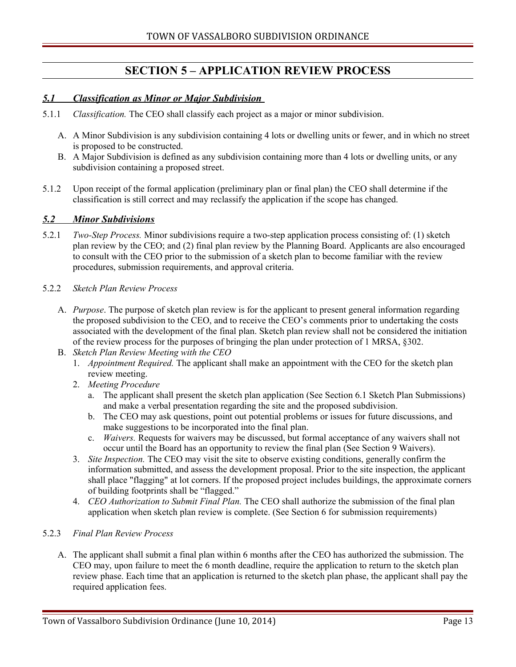## <span id="page-12-2"></span>**SECTION 5 – APPLICATION REVIEW PROCESS**

#### <span id="page-12-1"></span> *5.1 Classification as Minor or Major Subdivision*

- 5.1.1 *Classification.* The CEO shall classify each project as a major or minor subdivision.
	- A. A Minor Subdivision is any subdivision containing 4 lots or dwelling units or fewer, and in which no street is proposed to be constructed.
	- B. A Major Subdivision is defined as any subdivision containing more than 4 lots or dwelling units, or any subdivision containing a proposed street.
- 5.1.2 Upon receipt of the formal application (preliminary plan or final plan) the CEO shall determine if the classification is still correct and may reclassify the application if the scope has changed.

#### <span id="page-12-0"></span> *5.2 Minor Subdivisions*

5.2.1 *Two-Step Process.* Minor subdivisions require a two-step application process consisting of: (1) sketch plan review by the CEO; and (2) final plan review by the Planning Board. Applicants are also encouraged to consult with the CEO prior to the submission of a sketch plan to become familiar with the review procedures, submission requirements, and approval criteria.

#### 5.2.2 *Sketch Plan Review Process*

- A. *Purpose*. The purpose of sketch plan review is for the applicant to present general information regarding the proposed subdivision to the CEO, and to receive the CEO's comments prior to undertaking the costs associated with the development of the final plan. Sketch plan review shall not be considered the initiation of the review process for the purposes of bringing the plan under protection of 1 MRSA, §302.
- B. *Sketch Plan Review Meeting with the CEO*
	- 1. *Appointment Required.* The applicant shall make an appointment with the CEO for the sketch plan review meeting.
	- 2. *Meeting Procedure*
		- a. The applicant shall present the sketch plan application (See Section 6.1 Sketch Plan Submissions) and make a verbal presentation regarding the site and the proposed subdivision.
		- b. The CEO may ask questions, point out potential problems or issues for future discussions, and make suggestions to be incorporated into the final plan.
		- c. *Waivers.* Requests for waivers may be discussed, but formal acceptance of any waivers shall not occur until the Board has an opportunity to review the final plan (See Section 9 Waivers).
	- 3. *Site Inspection.* The CEO may visit the site to observe existing conditions, generally confirm the information submitted, and assess the development proposal. Prior to the site inspection, the applicant shall place "flagging" at lot corners. If the proposed project includes buildings, the approximate corners of building footprints shall be "flagged."
	- 4. *CEO Authorization to Submit Final Plan.* The CEO shall authorize the submission of the final plan application when sketch plan review is complete. (See Section 6 for submission requirements)

#### 5.2.3 *Final Plan Review Process*

A. The applicant shall submit a final plan within 6 months after the CEO has authorized the submission. The CEO may, upon failure to meet the 6 month deadline, require the application to return to the sketch plan review phase. Each time that an application is returned to the sketch plan phase, the applicant shall pay the required application fees.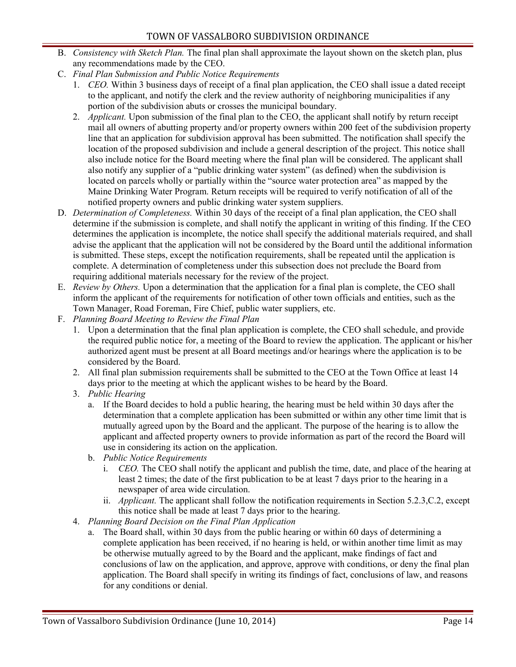- B. *Consistency with Sketch Plan.* The final plan shall approximate the layout shown on the sketch plan, plus any recommendations made by the CEO.
- C. *Final Plan Submission and Public Notice Requirements* 
	- 1. *CEO.* Within 3 business days of receipt of a final plan application, the CEO shall issue a dated receipt to the applicant, and notify the clerk and the review authority of neighboring municipalities if any portion of the subdivision abuts or crosses the municipal boundary.
	- 2. *Applicant.* Upon submission of the final plan to the CEO, the applicant shall notify by return receipt mail all owners of abutting property and/or property owners within 200 feet of the subdivision property line that an application for subdivision approval has been submitted. The notification shall specify the location of the proposed subdivision and include a general description of the project. This notice shall also include notice for the Board meeting where the final plan will be considered. The applicant shall also notify any supplier of a "public drinking water system" (as defined) when the subdivision is located on parcels wholly or partially within the "source water protection area" as mapped by the Maine Drinking Water Program. Return receipts will be required to verify notification of all of the notified property owners and public drinking water system suppliers.
- D. *Determination of Completeness.* Within 30 days of the receipt of a final plan application, the CEO shall determine if the submission is complete, and shall notify the applicant in writing of this finding. If the CEO determines the application is incomplete, the notice shall specify the additional materials required, and shall advise the applicant that the application will not be considered by the Board until the additional information is submitted. These steps, except the notification requirements, shall be repeated until the application is complete. A determination of completeness under this subsection does not preclude the Board from requiring additional materials necessary for the review of the project.
- E. *Review by Others.* Upon a determination that the application for a final plan is complete, the CEO shall inform the applicant of the requirements for notification of other town officials and entities, such as the Town Manager, Road Foreman, Fire Chief, public water suppliers, etc.
- F. *Planning Board Meeting to Review the Final Plan*
	- 1. Upon a determination that the final plan application is complete, the CEO shall schedule, and provide the required public notice for, a meeting of the Board to review the application. The applicant or his/her authorized agent must be present at all Board meetings and/or hearings where the application is to be considered by the Board.
	- 2. All final plan submission requirements shall be submitted to the CEO at the Town Office at least 14 days prior to the meeting at which the applicant wishes to be heard by the Board.
	- 3. *Public Hearing*
		- a. If the Board decides to hold a public hearing, the hearing must be held within 30 days after the determination that a complete application has been submitted or within any other time limit that is mutually agreed upon by the Board and the applicant. The purpose of the hearing is to allow the applicant and affected property owners to provide information as part of the record the Board will use in considering its action on the application.
		- b. *Public Notice Requirements*
			- i. *CEO.* The CEO shall notify the applicant and publish the time, date, and place of the hearing at least 2 times; the date of the first publication to be at least 7 days prior to the hearing in a newspaper of area wide circulation.
			- ii. *Applicant.* The applicant shall follow the notification requirements in Section 5.2.3,C.2, except this notice shall be made at least 7 days prior to the hearing.
	- 4. *Planning Board Decision on the Final Plan Application*
		- a. The Board shall, within 30 days from the public hearing or within 60 days of determining a complete application has been received, if no hearing is held, or within another time limit as may be otherwise mutually agreed to by the Board and the applicant, make findings of fact and conclusions of law on the application, and approve, approve with conditions, or deny the final plan application. The Board shall specify in writing its findings of fact, conclusions of law, and reasons for any conditions or denial.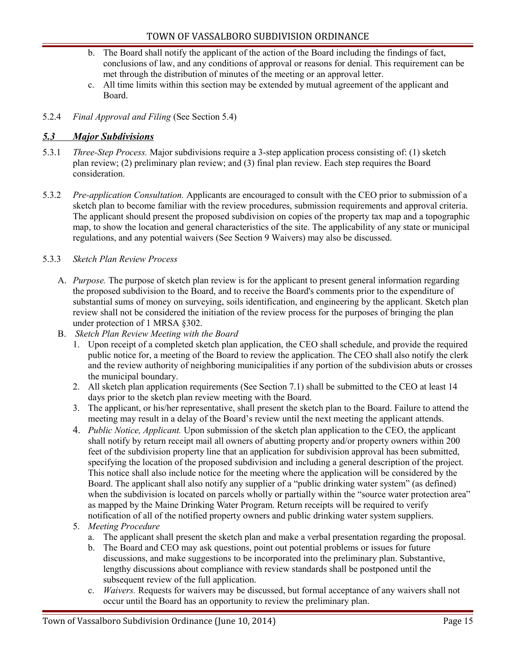- b. The Board shall notify the applicant of the action of the Board including the findings of fact, conclusions of law, and any conditions of approval or reasons for denial. This requirement can be met through the distribution of minutes of the meeting or an approval letter.
- c. All time limits within this section may be extended by mutual agreement of the applicant and Board.
- 5.2.4 *Final Approval and Filing* (See Section 5.4)

#### <span id="page-14-0"></span> *5.3 Major Subdivisions*

- 5.3.1 *Three-Step Process.* Major subdivisions require a 3-step application process consisting of: (1) sketch plan review; (2) preliminary plan review; and (3) final plan review. Each step requires the Board consideration.
- 5.3.2 *Pre-application Consultation.* Applicants are encouraged to consult with the CEO prior to submission of a sketch plan to become familiar with the review procedures, submission requirements and approval criteria. The applicant should present the proposed subdivision on copies of the property tax map and a topographic map, to show the location and general characteristics of the site. The applicability of any state or municipal regulations, and any potential waivers (See Section 9 Waivers) may also be discussed.

#### 5.3.3 *Sketch Plan Review Process*

- A. *Purpose.* The purpose of sketch plan review is for the applicant to present general information regarding the proposed subdivision to the Board, and to receive the Board's comments prior to the expenditure of substantial sums of money on surveying, soils identification, and engineering by the applicant. Sketch plan review shall not be considered the initiation of the review process for the purposes of bringing the plan under protection of 1 MRSA §302.
- B. *Sketch Plan Review Meeting with the Board*
	- 1. Upon receipt of a completed sketch plan application, the CEO shall schedule, and provide the required public notice for, a meeting of the Board to review the application. The CEO shall also notify the clerk and the review authority of neighboring municipalities if any portion of the subdivision abuts or crosses the municipal boundary.
	- 2. All sketch plan application requirements (See Section 7.1) shall be submitted to the CEO at least 14 days prior to the sketch plan review meeting with the Board.
	- 3. The applicant, or his/her representative, shall present the sketch plan to the Board. Failure to attend the meeting may result in a delay of the Board's review until the next meeting the applicant attends.
	- 4. *Public Notice, Applicant.* Upon submission of the sketch plan application to the CEO, the applicant shall notify by return receipt mail all owners of abutting property and/or property owners within 200 feet of the subdivision property line that an application for subdivision approval has been submitted, specifying the location of the proposed subdivision and including a general description of the project. This notice shall also include notice for the meeting where the application will be considered by the Board. The applicant shall also notify any supplier of a "public drinking water system" (as defined) when the subdivision is located on parcels wholly or partially within the "source water protection area" as mapped by the Maine Drinking Water Program. Return receipts will be required to verify notification of all of the notified property owners and public drinking water system suppliers.
	- 5. *Meeting Procedure*
		- a. The applicant shall present the sketch plan and make a verbal presentation regarding the proposal.
		- b. The Board and CEO may ask questions, point out potential problems or issues for future discussions, and make suggestions to be incorporated into the preliminary plan. Substantive, lengthy discussions about compliance with review standards shall be postponed until the subsequent review of the full application.
		- c. *Waivers.* Requests for waivers may be discussed, but formal acceptance of any waivers shall not occur until the Board has an opportunity to review the preliminary plan.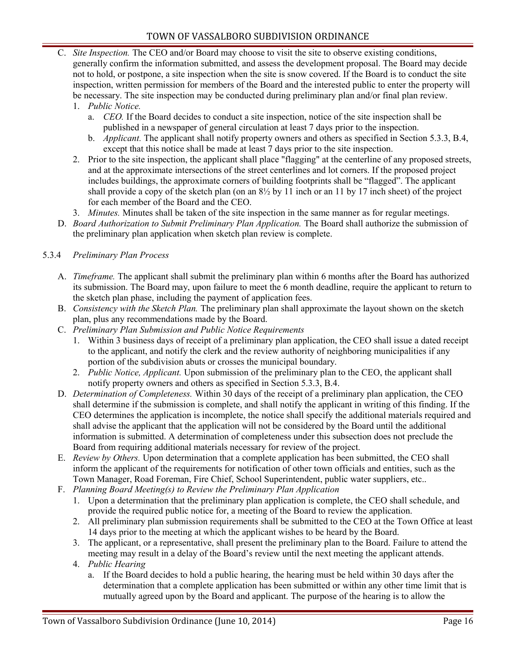- C. *Site Inspection.* The CEO and/or Board may choose to visit the site to observe existing conditions, generally confirm the information submitted, and assess the development proposal. The Board may decide not to hold, or postpone, a site inspection when the site is snow covered. If the Board is to conduct the site inspection, written permission for members of the Board and the interested public to enter the property will be necessary. The site inspection may be conducted during preliminary plan and/or final plan review.
	- 1. *Public Notice.*
		- a. *CEO.* If the Board decides to conduct a site inspection, notice of the site inspection shall be published in a newspaper of general circulation at least 7 days prior to the inspection.
		- b. *Applicant.* The applicant shall notify property owners and others as specified in Section 5.3.3, B.4, except that this notice shall be made at least 7 days prior to the site inspection.
	- 2. Prior to the site inspection, the applicant shall place "flagging" at the centerline of any proposed streets, and at the approximate intersections of the street centerlines and lot corners. If the proposed project includes buildings, the approximate corners of building footprints shall be "flagged". The applicant shall provide a copy of the sketch plan (on an  $8\frac{1}{2}$  by 11 inch or an 11 by 17 inch sheet) of the project for each member of the Board and the CEO.
	- 3. *Minutes.* Minutes shall be taken of the site inspection in the same manner as for regular meetings.
- D. *Board Authorization to Submit Preliminary Plan Application.* The Board shall authorize the submission of the preliminary plan application when sketch plan review is complete.

#### 5.3.4 *Preliminary Plan Process*

- A. *Timeframe.* The applicant shall submit the preliminary plan within 6 months after the Board has authorized its submission. The Board may, upon failure to meet the 6 month deadline, require the applicant to return to the sketch plan phase, including the payment of application fees.
- B. *Consistency with the Sketch Plan.* The preliminary plan shall approximate the layout shown on the sketch plan, plus any recommendations made by the Board.
- C. *Preliminary Plan Submission and Public Notice Requirements*
	- 1. Within 3 business days of receipt of a preliminary plan application, the CEO shall issue a dated receipt to the applicant, and notify the clerk and the review authority of neighboring municipalities if any portion of the subdivision abuts or crosses the municipal boundary.
	- 2. *Public Notice, Applicant.* Upon submission of the preliminary plan to the CEO, the applicant shall notify property owners and others as specified in Section 5.3.3, B.4.
- D. *Determination of Completeness.* Within 30 days of the receipt of a preliminary plan application, the CEO shall determine if the submission is complete, and shall notify the applicant in writing of this finding. If the CEO determines the application is incomplete, the notice shall specify the additional materials required and shall advise the applicant that the application will not be considered by the Board until the additional information is submitted. A determination of completeness under this subsection does not preclude the Board from requiring additional materials necessary for review of the project.
- E. *Review by Others.* Upon determination that a complete application has been submitted, the CEO shall inform the applicant of the requirements for notification of other town officials and entities, such as the Town Manager, Road Foreman, Fire Chief, School Superintendent, public water suppliers, etc..
- F. *Planning Board Meeting(s) to Review the Preliminary Plan Application*
	- 1. Upon a determination that the preliminary plan application is complete, the CEO shall schedule, and provide the required public notice for, a meeting of the Board to review the application.
	- 2. All preliminary plan submission requirements shall be submitted to the CEO at the Town Office at least 14 days prior to the meeting at which the applicant wishes to be heard by the Board.
	- 3. The applicant, or a representative, shall present the preliminary plan to the Board. Failure to attend the meeting may result in a delay of the Board's review until the next meeting the applicant attends.
	- 4. *Public Hearing*
		- a. If the Board decides to hold a public hearing, the hearing must be held within 30 days after the determination that a complete application has been submitted or within any other time limit that is mutually agreed upon by the Board and applicant. The purpose of the hearing is to allow the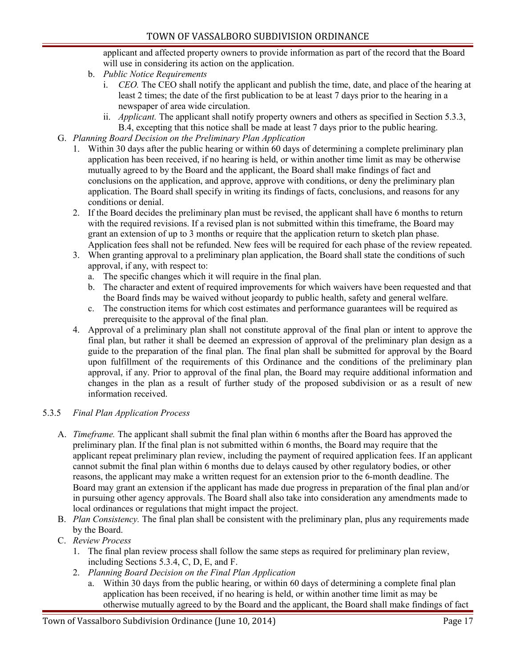applicant and affected property owners to provide information as part of the record that the Board will use in considering its action on the application.

- b. *Public Notice Requirements*
	- i. *CEO.* The CEO shall notify the applicant and publish the time, date, and place of the hearing at least 2 times; the date of the first publication to be at least 7 days prior to the hearing in a newspaper of area wide circulation.
	- ii. *Applicant.* The applicant shall notify property owners and others as specified in Section 5.3.3, B.4, excepting that this notice shall be made at least 7 days prior to the public hearing.
- G. *Planning Board Decision on the Preliminary Plan Application*
	- 1. Within 30 days after the public hearing or within 60 days of determining a complete preliminary plan application has been received, if no hearing is held, or within another time limit as may be otherwise mutually agreed to by the Board and the applicant, the Board shall make findings of fact and conclusions on the application, and approve, approve with conditions, or deny the preliminary plan application. The Board shall specify in writing its findings of facts, conclusions, and reasons for any conditions or denial.
	- 2. If the Board decides the preliminary plan must be revised, the applicant shall have 6 months to return with the required revisions. If a revised plan is not submitted within this timeframe, the Board may grant an extension of up to 3 months or require that the application return to sketch plan phase. Application fees shall not be refunded. New fees will be required for each phase of the review repeated.
	- 3. When granting approval to a preliminary plan application, the Board shall state the conditions of such approval, if any, with respect to:
		- a. The specific changes which it will require in the final plan.
		- b. The character and extent of required improvements for which waivers have been requested and that the Board finds may be waived without jeopardy to public health, safety and general welfare.
		- c. The construction items for which cost estimates and performance guarantees will be required as prerequisite to the approval of the final plan.
	- 4. Approval of a preliminary plan shall not constitute approval of the final plan or intent to approve the final plan, but rather it shall be deemed an expression of approval of the preliminary plan design as a guide to the preparation of the final plan. The final plan shall be submitted for approval by the Board upon fulfillment of the requirements of this Ordinance and the conditions of the preliminary plan approval, if any. Prior to approval of the final plan, the Board may require additional information and changes in the plan as a result of further study of the proposed subdivision or as a result of new information received.

#### 5.3.5 *Final Plan Application Process*

- A. *Timeframe.* The applicant shall submit the final plan within 6 months after the Board has approved the preliminary plan. If the final plan is not submitted within 6 months, the Board may require that the applicant repeat preliminary plan review, including the payment of required application fees. If an applicant cannot submit the final plan within 6 months due to delays caused by other regulatory bodies, or other reasons, the applicant may make a written request for an extension prior to the 6-month deadline. The Board may grant an extension if the applicant has made due progress in preparation of the final plan and/or in pursuing other agency approvals. The Board shall also take into consideration any amendments made to local ordinances or regulations that might impact the project.
- B. *Plan Consistency.* The final plan shall be consistent with the preliminary plan, plus any requirements made by the Board.
- C. *Review Process*
	- 1. The final plan review process shall follow the same steps as required for preliminary plan review, including Sections 5.3.4, C, D, E, and F.
	- 2. *Planning Board Decision on the Final Plan Application*
		- a. Within 30 days from the public hearing, or within 60 days of determining a complete final plan application has been received, if no hearing is held, or within another time limit as may be otherwise mutually agreed to by the Board and the applicant, the Board shall make findings of fact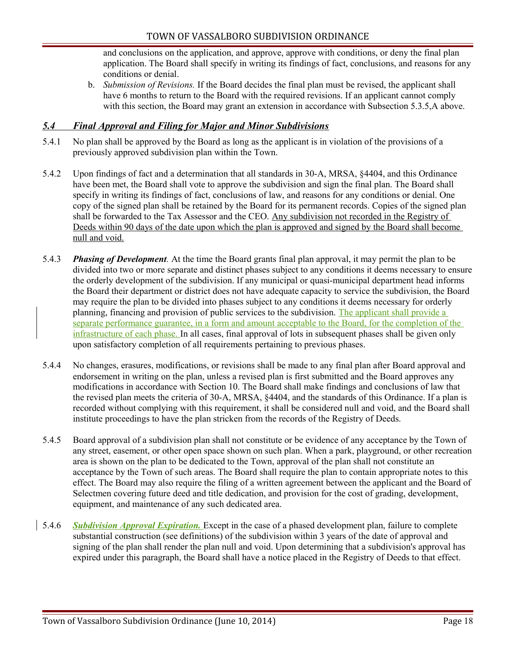and conclusions on the application, and approve, approve with conditions, or deny the final plan application. The Board shall specify in writing its findings of fact, conclusions, and reasons for any conditions or denial.

b. *Submission of Revisions.* If the Board decides the final plan must be revised, the applicant shall have 6 months to return to the Board with the required revisions. If an applicant cannot comply with this section, the Board may grant an extension in accordance with Subsection 5.3.5, A above.

#### <span id="page-17-0"></span> *5.4 Final Approval and Filing for Major and Minor Subdivisions*

- 5.4.1 No plan shall be approved by the Board as long as the applicant is in violation of the provisions of a previously approved subdivision plan within the Town.
- 5.4.2 Upon findings of fact and a determination that all standards in 30-A, MRSA, §4404, and this Ordinance have been met, the Board shall vote to approve the subdivision and sign the final plan. The Board shall specify in writing its findings of fact, conclusions of law, and reasons for any conditions or denial. One copy of the signed plan shall be retained by the Board for its permanent records. Copies of the signed plan shall be forwarded to the Tax Assessor and the CEO. Any subdivision not recorded in the Registry of Deeds within 90 days of the date upon which the plan is approved and signed by the Board shall become null and void.
- 5.4.3 *Phasing of Development.* At the time the Board grants final plan approval, it may permit the plan to be divided into two or more separate and distinct phases subject to any conditions it deems necessary to ensure the orderly development of the subdivision. If any municipal or quasi-municipal department head informs the Board their department or district does not have adequate capacity to service the subdivision, the Board may require the plan to be divided into phases subject to any conditions it deems necessary for orderly planning, financing and provision of public services to the subdivision. The applicant shall provide a separate performance guarantee, in a form and amount acceptable to the Board, for the completion of the infrastructure of each phase. In all cases, final approval of lots in subsequent phases shall be given only upon satisfactory completion of all requirements pertaining to previous phases.
- 5.4.4 No changes, erasures, modifications, or revisions shall be made to any final plan after Board approval and endorsement in writing on the plan, unless a revised plan is first submitted and the Board approves any modifications in accordance with Section 10. The Board shall make findings and conclusions of law that the revised plan meets the criteria of 30-A, MRSA, §4404, and the standards of this Ordinance. If a plan is recorded without complying with this requirement, it shall be considered null and void, and the Board shall institute proceedings to have the plan stricken from the records of the Registry of Deeds.
- 5.4.5 Board approval of a subdivision plan shall not constitute or be evidence of any acceptance by the Town of any street, easement, or other open space shown on such plan. When a park, playground, or other recreation area is shown on the plan to be dedicated to the Town, approval of the plan shall not constitute an acceptance by the Town of such areas. The Board shall require the plan to contain appropriate notes to this effect. The Board may also require the filing of a written agreement between the applicant and the Board of Selectmen covering future deed and title dedication, and provision for the cost of grading, development, equipment, and maintenance of any such dedicated area.
- 5.4.6 *Subdivision Approval Expiration.* Except in the case of a phased development plan, failure to complete substantial construction (see definitions) of the subdivision within 3 years of the date of approval and signing of the plan shall render the plan null and void. Upon determining that a subdivision's approval has expired under this paragraph, the Board shall have a notice placed in the Registry of Deeds to that effect.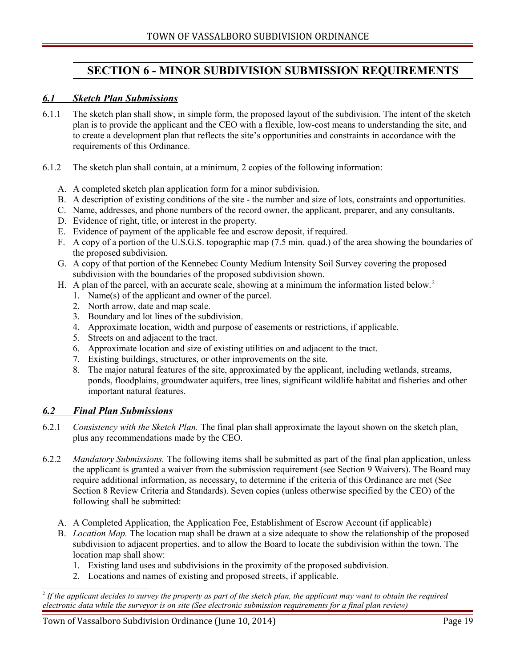# <span id="page-18-2"></span>**SECTION 6 - MINOR SUBDIVISION SUBMISSION REQUIREMENTS**

#### <span id="page-18-1"></span> *6.1 Sketch Plan Submissions*

- 6.1.1 The sketch plan shall show, in simple form, the proposed layout of the subdivision. The intent of the sketch plan is to provide the applicant and the CEO with a flexible, low-cost means to understanding the site, and to create a development plan that reflects the site's opportunities and constraints in accordance with the requirements of this Ordinance.
- 6.1.2 The sketch plan shall contain, at a minimum, 2 copies of the following information:
	- A. A completed sketch plan application form for a minor subdivision.
	- B. A description of existing conditions of the site the number and size of lots, constraints and opportunities.
	- C. Name, addresses, and phone numbers of the record owner, the applicant, preparer, and any consultants.
	- D. Evidence of right, title, or interest in the property.
	- E. Evidence of payment of the applicable fee and escrow deposit, if required.
	- F. A copy of a portion of the U.S.G.S. topographic map (7.5 min. quad.) of the area showing the boundaries of the proposed subdivision.
	- G. A copy of that portion of the Kennebec County Medium Intensity Soil Survey covering the proposed subdivision with the boundaries of the proposed subdivision shown.
	- H. A plan of the parcel, with an accurate scale, showing at a minimum the information listed below.<sup>[2](#page-18-3)</sup>
		- 1. Name(s) of the applicant and owner of the parcel.
		- 2. North arrow, date and map scale.
		- 3. Boundary and lot lines of the subdivision.
		- 4. Approximate location, width and purpose of easements or restrictions, if applicable.
		- 5. Streets on and adjacent to the tract.
		- 6. Approximate location and size of existing utilities on and adjacent to the tract.
		- 7. Existing buildings, structures, or other improvements on the site.
		- 8. The major natural features of the site, approximated by the applicant, including wetlands, streams, ponds, floodplains, groundwater aquifers, tree lines, significant wildlife habitat and fisheries and other important natural features.

#### <span id="page-18-0"></span> *6.2 Final Plan Submissions*

- 6.2.1 *Consistency with the Sketch Plan.* The final plan shall approximate the layout shown on the sketch plan, plus any recommendations made by the CEO.
- 6.2.2 *Mandatory Submissions.* The following items shall be submitted as part of the final plan application, unless the applicant is granted a waiver from the submission requirement (see Section 9 Waivers). The Board may require additional information, as necessary, to determine if the criteria of this Ordinance are met (See Section 8 Review Criteria and Standards). Seven copies (unless otherwise specified by the CEO) of the following shall be submitted:
	- A. A Completed Application, the Application Fee, Establishment of Escrow Account (if applicable)
	- B. *Location Map.* The location map shall be drawn at a size adequate to show the relationship of the proposed subdivision to adjacent properties, and to allow the Board to locate the subdivision within the town. The location map shall show:
		- 1. Existing land uses and subdivisions in the proximity of the proposed subdivision.
		- 2. Locations and names of existing and proposed streets, if applicable.

<span id="page-18-3"></span><sup>2</sup> *If the applicant decides to survey the property as part of the sketch plan, the applicant may want to obtain the required electronic data while the surveyor is on site (See electronic submission requirements for a final plan review)*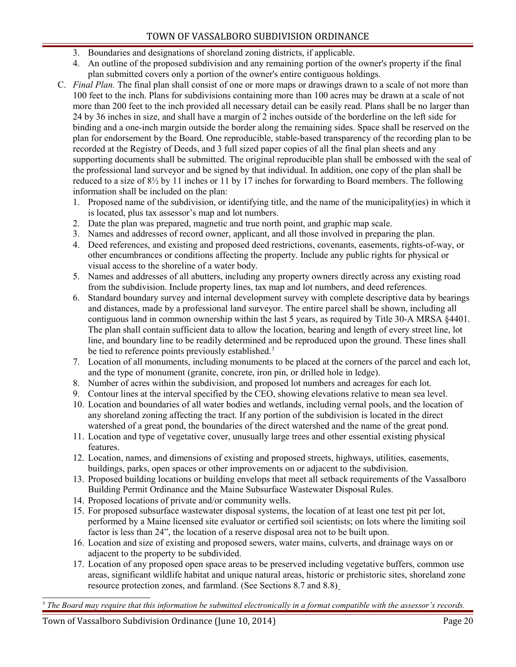- 3. Boundaries and designations of shoreland zoning districts, if applicable.
- 4. An outline of the proposed subdivision and any remaining portion of the owner's property if the final plan submitted covers only a portion of the owner's entire contiguous holdings.
- C. *Final Plan.* The final plan shall consist of one or more maps or drawings drawn to a scale of not more than 100 feet to the inch. Plans for subdivisions containing more than 100 acres may be drawn at a scale of not more than 200 feet to the inch provided all necessary detail can be easily read. Plans shall be no larger than 24 by 36 inches in size, and shall have a margin of 2 inches outside of the borderline on the left side for binding and a one-inch margin outside the border along the remaining sides. Space shall be reserved on the plan for endorsement by the Board. One reproducible, stable-based transparency of the recording plan to be recorded at the Registry of Deeds, and 3 full sized paper copies of all the final plan sheets and any supporting documents shall be submitted. The original reproducible plan shall be embossed with the seal of the professional land surveyor and be signed by that individual. In addition, one copy of the plan shall be reduced to a size of 8½ by 11 inches or 11 by 17 inches for forwarding to Board members. The following information shall be included on the plan:
	- 1. Proposed name of the subdivision, or identifying title, and the name of the municipality(ies) in which it is located, plus tax assessor's map and lot numbers.
	- 2. Date the plan was prepared, magnetic and true north point, and graphic map scale.
	- 3. Names and addresses of record owner, applicant, and all those involved in preparing the plan.
	- 4. Deed references, and existing and proposed deed restrictions, covenants, easements, rights-of-way, or other encumbrances or conditions affecting the property. Include any public rights for physical or visual access to the shoreline of a water body.
	- 5. Names and addresses of all abutters, including any property owners directly across any existing road from the subdivision. Include property lines, tax map and lot numbers, and deed references.
	- 6. Standard boundary survey and internal development survey with complete descriptive data by bearings and distances, made by a professional land surveyor. The entire parcel shall be shown, including all contiguous land in common ownership within the last 5 years, as required by Title 30-A MRSA §4401. The plan shall contain sufficient data to allow the location, bearing and length of every street line, lot line, and boundary line to be readily determined and be reproduced upon the ground. These lines shall be tied to reference points previously established.<sup>[3](#page-19-0)</sup>
	- 7. Location of all monuments, including monuments to be placed at the corners of the parcel and each lot, and the type of monument (granite, concrete, iron pin, or drilled hole in ledge).
	- 8. Number of acres within the subdivision, and proposed lot numbers and acreages for each lot.
	- 9. Contour lines at the interval specified by the CEO, showing elevations relative to mean sea level.
	- 10. Location and boundaries of all water bodies and wetlands, including vernal pools, and the location of any shoreland zoning affecting the tract. If any portion of the subdivision is located in the direct watershed of a great pond, the boundaries of the direct watershed and the name of the great pond.
	- 11. Location and type of vegetative cover, unusually large trees and other essential existing physical features.
	- 12. Location, names, and dimensions of existing and proposed streets, highways, utilities, easements, buildings, parks, open spaces or other improvements on or adjacent to the subdivision.
	- 13. Proposed building locations or building envelops that meet all setback requirements of the Vassalboro Building Permit Ordinance and the Maine Subsurface Wastewater Disposal Rules.
	- 14. Proposed locations of private and/or community wells.
	- 15. For proposed subsurface wastewater disposal systems, the location of at least one test pit per lot, performed by a Maine licensed site evaluator or certified soil scientists; on lots where the limiting soil factor is less than 24", the location of a reserve disposal area not to be built upon.
	- 16. Location and size of existing and proposed sewers, water mains, culverts, and drainage ways on or adjacent to the property to be subdivided.
	- 17. Location of any proposed open space areas to be preserved including vegetative buffers, common use areas, significant wildlife habitat and unique natural areas, historic or prehistoric sites, shoreland zone resource protection zones, and farmland. (See Sections 8.7 and 8.8)

<span id="page-19-0"></span>3  *The Board may require that this information be submitted electronically in a format compatible with the assessor's records.*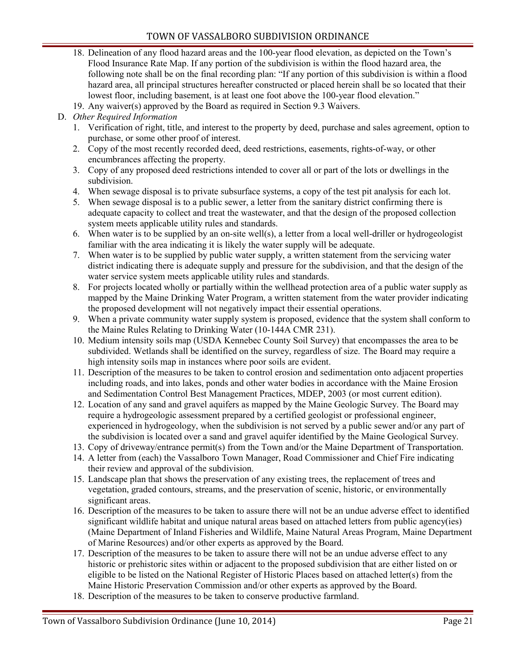- 18. Delineation of any flood hazard areas and the 100-year flood elevation, as depicted on the Town's Flood Insurance Rate Map. If any portion of the subdivision is within the flood hazard area, the following note shall be on the final recording plan: "If any portion of this subdivision is within a flood hazard area, all principal structures hereafter constructed or placed herein shall be so located that their lowest floor, including basement, is at least one foot above the 100-year flood elevation."
- 19. Any waiver(s) approved by the Board as required in Section 9.3 Waivers.

#### D. *Other Required Information*

- 1. Verification of right, title, and interest to the property by deed, purchase and sales agreement, option to purchase, or some other proof of interest.
- 2. Copy of the most recently recorded deed, deed restrictions, easements, rights-of-way, or other encumbrances affecting the property.
- 3. Copy of any proposed deed restrictions intended to cover all or part of the lots or dwellings in the subdivision.
- 4. When sewage disposal is to private subsurface systems, a copy of the test pit analysis for each lot.
- 5. When sewage disposal is to a public sewer, a letter from the sanitary district confirming there is adequate capacity to collect and treat the wastewater, and that the design of the proposed collection system meets applicable utility rules and standards.
- 6. When water is to be supplied by an on-site well(s), a letter from a local well-driller or hydrogeologist familiar with the area indicating it is likely the water supply will be adequate.
- 7. When water is to be supplied by public water supply, a written statement from the servicing water district indicating there is adequate supply and pressure for the subdivision, and that the design of the water service system meets applicable utility rules and standards.
- 8. For projects located wholly or partially within the wellhead protection area of a public water supply as mapped by the Maine Drinking Water Program, a written statement from the water provider indicating the proposed development will not negatively impact their essential operations.
- 9. When a private community water supply system is proposed, evidence that the system shall conform to the Maine Rules Relating to Drinking Water (10-144A CMR 231).
- 10. Medium intensity soils map (USDA Kennebec County Soil Survey) that encompasses the area to be subdivided. Wetlands shall be identified on the survey, regardless of size. The Board may require a high intensity soils map in instances where poor soils are evident.
- 11. Description of the measures to be taken to control erosion and sedimentation onto adjacent properties including roads, and into lakes, ponds and other water bodies in accordance with the Maine Erosion and Sedimentation Control Best Management Practices, MDEP, 2003 (or most current edition).
- 12. Location of any sand and gravel aquifers as mapped by the Maine Geologic Survey. The Board may require a hydrogeologic assessment prepared by a certified geologist or professional engineer, experienced in hydrogeology, when the subdivision is not served by a public sewer and/or any part of the subdivision is located over a sand and gravel aquifer identified by the Maine Geological Survey.
- 13. Copy of driveway/entrance permit(s) from the Town and/or the Maine Department of Transportation.
- 14. A letter from (each) the Vassalboro Town Manager, Road Commissioner and Chief Fire indicating their review and approval of the subdivision.
- 15. Landscape plan that shows the preservation of any existing trees, the replacement of trees and vegetation, graded contours, streams, and the preservation of scenic, historic, or environmentally significant areas.
- 16. Description of the measures to be taken to assure there will not be an undue adverse effect to identified significant wildlife habitat and unique natural areas based on attached letters from public agency(ies) (Maine Department of Inland Fisheries and Wildlife, Maine Natural Areas Program, Maine Department of Marine Resources) and/or other experts as approved by the Board.
- 17. Description of the measures to be taken to assure there will not be an undue adverse effect to any historic or prehistoric sites within or adjacent to the proposed subdivision that are either listed on or eligible to be listed on the National Register of Historic Places based on attached letter(s) from the Maine Historic Preservation Commission and/or other experts as approved by the Board.
- 18. Description of the measures to be taken to conserve productive farmland.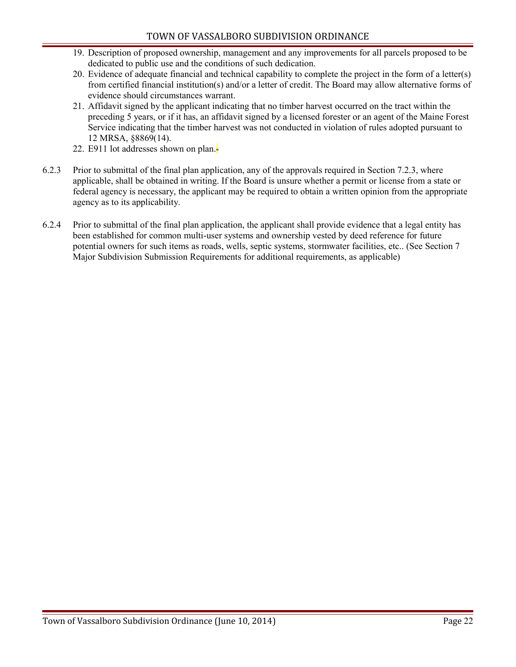- 19. Description of proposed ownership, management and any improvements for all parcels proposed to be dedicated to public use and the conditions of such dedication.
- 20. Evidence of adequate financial and technical capability to complete the project in the form of a letter(s) from certified financial institution(s) and/or a letter of credit. The Board may allow alternative forms of evidence should circumstances warrant.
- 21. Affidavit signed by the applicant indicating that no timber harvest occurred on the tract within the preceding 5 years, or if it has, an affidavit signed by a licensed forester or an agent of the Maine Forest Service indicating that the timber harvest was not conducted in violation of rules adopted pursuant to 12 MRSA, §8869(14).
- 22. E911 lot addresses shown on plan.
- 6.2.3 Prior to submittal of the final plan application, any of the approvals required in Section 7.2.3, where applicable, shall be obtained in writing. If the Board is unsure whether a permit or license from a state or federal agency is necessary, the applicant may be required to obtain a written opinion from the appropriate agency as to its applicability.
- 6.2.4 Prior to submittal of the final plan application, the applicant shall provide evidence that a legal entity has been established for common multi-user systems and ownership vested by deed reference for future potential owners for such items as roads, wells, septic systems, stormwater facilities, etc.. (See Section 7 Major Subdivision Submission Requirements for additional requirements, as applicable)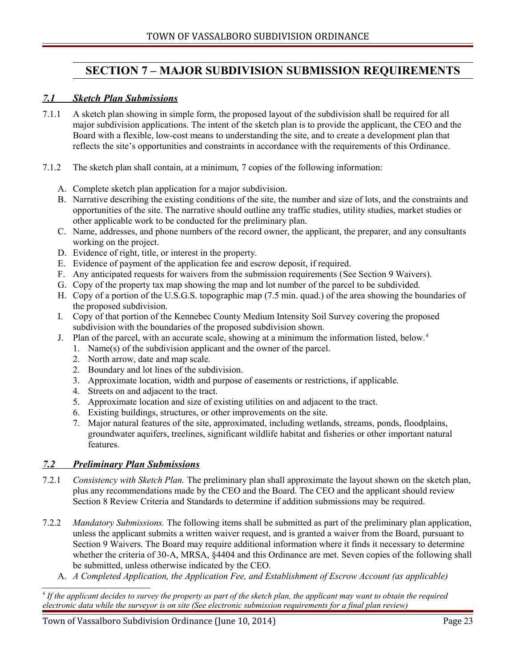# <span id="page-22-2"></span>**SECTION 7 – MAJOR SUBDIVISION SUBMISSION REQUIREMENTS**

#### <span id="page-22-1"></span> *7.1 Sketch Plan Submissions*

- 7.1.1 A sketch plan showing in simple form, the proposed layout of the subdivision shall be required for all major subdivision applications. The intent of the sketch plan is to provide the applicant, the CEO and the Board with a flexible, low-cost means to understanding the site, and to create a development plan that reflects the site's opportunities and constraints in accordance with the requirements of this Ordinance.
- 7.1.2 The sketch plan shall contain, at a minimum, 7 copies of the following information:
	- A. Complete sketch plan application for a major subdivision.
	- B. Narrative describing the existing conditions of the site, the number and size of lots, and the constraints and opportunities of the site. The narrative should outline any traffic studies, utility studies, market studies or other applicable work to be conducted for the preliminary plan.
	- C. Name, addresses, and phone numbers of the record owner, the applicant, the preparer, and any consultants working on the project.
	- D. Evidence of right, title, or interest in the property.
	- E. Evidence of payment of the application fee and escrow deposit, if required.
	- F. Any anticipated requests for waivers from the submission requirements (See Section 9 Waivers).
	- G. Copy of the property tax map showing the map and lot number of the parcel to be subdivided.
	- H. Copy of a portion of the U.S.G.S. topographic map (7.5 min. quad.) of the area showing the boundaries of the proposed subdivision.
	- I. Copy of that portion of the Kennebec County Medium Intensity Soil Survey covering the proposed subdivision with the boundaries of the proposed subdivision shown.
	- J. Plan of the parcel, with an accurate scale, showing at a minimum the information listed, below.[4](#page-22-3)
		- 1. Name(s) of the subdivision applicant and the owner of the parcel.
		- 2. North arrow, date and map scale.
		- 2. Boundary and lot lines of the subdivision.
		- 3. Approximate location, width and purpose of easements or restrictions, if applicable.
		- 4. Streets on and adjacent to the tract.
		- 5. Approximate location and size of existing utilities on and adjacent to the tract.
		- 6. Existing buildings, structures, or other improvements on the site.
		- 7. Major natural features of the site, approximated, including wetlands, streams, ponds, floodplains, groundwater aquifers, treelines, significant wildlife habitat and fisheries or other important natural features.

#### <span id="page-22-0"></span> *7.2 Preliminary Plan Submissions*

- 7.2.1 *Consistency with Sketch Plan.* The preliminary plan shall approximate the layout shown on the sketch plan, plus any recommendations made by the CEO and the Board. The CEO and the applicant should review Section 8 Review Criteria and Standards to determine if addition submissions may be required.
- 7.2.2 *Mandatory Submissions.* The following items shall be submitted as part of the preliminary plan application, unless the applicant submits a written waiver request, and is granted a waiver from the Board, pursuant to Section 9 Waivers. The Board may require additional information where it finds it necessary to determine whether the criteria of 30-A, MRSA,  $\frac{64404}{4}$  and this Ordinance are met. Seven copies of the following shall be submitted, unless otherwise indicated by the CEO.
	- A. *A Completed Application, the Application Fee, and Establishment of Escrow Account (as applicable)*

<span id="page-22-3"></span><sup>4</sup> *If the applicant decides to survey the property as part of the sketch plan, the applicant may want to obtain the required electronic data while the surveyor is on site (See electronic submission requirements for a final plan review)*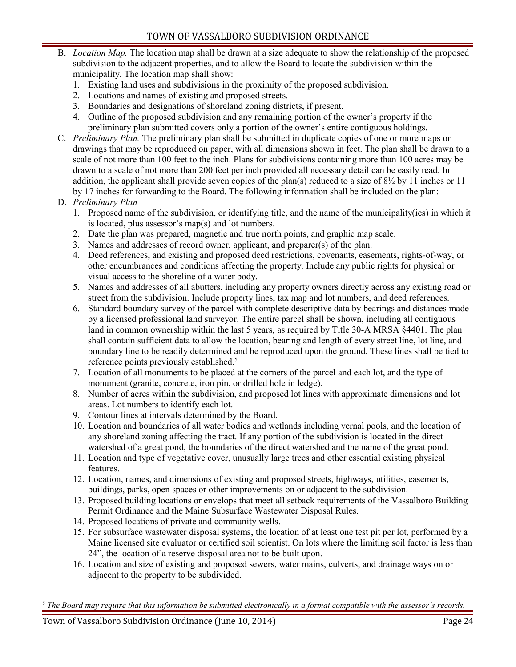- B. *Location Map.* The location map shall be drawn at a size adequate to show the relationship of the proposed subdivision to the adjacent properties, and to allow the Board to locate the subdivision within the municipality. The location map shall show:
	- 1. Existing land uses and subdivisions in the proximity of the proposed subdivision.
	- 2. Locations and names of existing and proposed streets.
	- 3. Boundaries and designations of shoreland zoning districts, if present.
	- 4. Outline of the proposed subdivision and any remaining portion of the owner's property if the preliminary plan submitted covers only a portion of the owner's entire contiguous holdings.
- C. *Preliminary Plan.* The preliminary plan shall be submitted in duplicate copies of one or more maps or drawings that may be reproduced on paper, with all dimensions shown in feet. The plan shall be drawn to a scale of not more than 100 feet to the inch. Plans for subdivisions containing more than 100 acres may be drawn to a scale of not more than 200 feet per inch provided all necessary detail can be easily read. In addition, the applicant shall provide seven copies of the plan(s) reduced to a size of 8½ by 11 inches or 11 by 17 inches for forwarding to the Board. The following information shall be included on the plan:
- D. *Preliminary Plan*
	- 1. Proposed name of the subdivision, or identifying title, and the name of the municipality(ies) in which it is located, plus assessor's map(s) and lot numbers.
	- 2. Date the plan was prepared, magnetic and true north points, and graphic map scale.
	- 3. Names and addresses of record owner, applicant, and preparer(s) of the plan.
	- 4. Deed references, and existing and proposed deed restrictions, covenants, easements, rights-of-way, or other encumbrances and conditions affecting the property. Include any public rights for physical or visual access to the shoreline of a water body.
	- 5. Names and addresses of all abutters, including any property owners directly across any existing road or street from the subdivision. Include property lines, tax map and lot numbers, and deed references.
	- 6. Standard boundary survey of the parcel with complete descriptive data by bearings and distances made by a licensed professional land surveyor. The entire parcel shall be shown, including all contiguous land in common ownership within the last 5 years, as required by Title 30-A MRSA  $\frac{1}{4}4401$ . The plan shall contain sufficient data to allow the location, bearing and length of every street line, lot line, and boundary line to be readily determined and be reproduced upon the ground. These lines shall be tied to reference points previously established.<sup>[5](#page-23-0)</sup>
	- 7. Location of all monuments to be placed at the corners of the parcel and each lot, and the type of monument (granite, concrete, iron pin, or drilled hole in ledge).
	- 8. Number of acres within the subdivision, and proposed lot lines with approximate dimensions and lot areas. Lot numbers to identify each lot.
	- 9. Contour lines at intervals determined by the Board.
	- 10. Location and boundaries of all water bodies and wetlands including vernal pools, and the location of any shoreland zoning affecting the tract. If any portion of the subdivision is located in the direct watershed of a great pond, the boundaries of the direct watershed and the name of the great pond.
	- 11. Location and type of vegetative cover, unusually large trees and other essential existing physical features.
	- 12. Location, names, and dimensions of existing and proposed streets, highways, utilities, easements, buildings, parks, open spaces or other improvements on or adjacent to the subdivision.
	- 13. Proposed building locations or envelops that meet all setback requirements of the Vassalboro Building Permit Ordinance and the Maine Subsurface Wastewater Disposal Rules.
	- 14. Proposed locations of private and community wells.
	- 15. For subsurface wastewater disposal systems, the location of at least one test pit per lot, performed by a Maine licensed site evaluator or certified soil scientist. On lots where the limiting soil factor is less than 24", the location of a reserve disposal area not to be built upon.
	- 16. Location and size of existing and proposed sewers, water mains, culverts, and drainage ways on or adjacent to the property to be subdivided.

<span id="page-23-0"></span><sup>5</sup>  *The Board may require that this information be submitted electronically in a format compatible with the assessor's records.*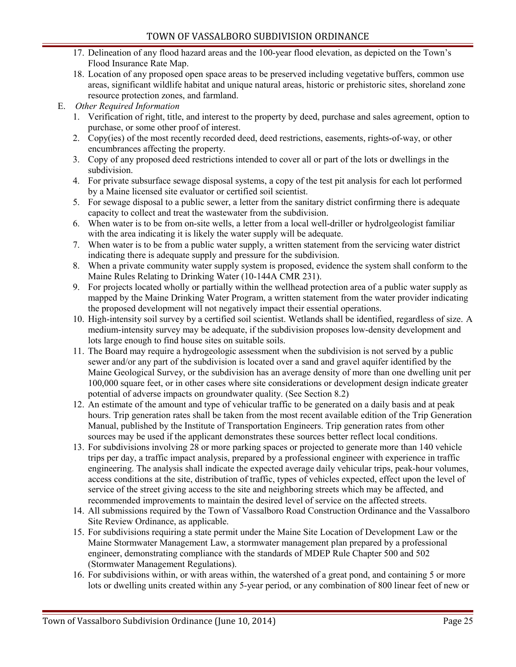- 17. Delineation of any flood hazard areas and the 100-year flood elevation, as depicted on the Town's Flood Insurance Rate Map.
- 18. Location of any proposed open space areas to be preserved including vegetative buffers, common use areas, significant wildlife habitat and unique natural areas, historic or prehistoric sites, shoreland zone resource protection zones, and farmland.
- E. *Other Required Information*
	- 1. Verification of right, title, and interest to the property by deed, purchase and sales agreement, option to purchase, or some other proof of interest.
	- 2. Copy(ies) of the most recently recorded deed, deed restrictions, easements, rights-of-way, or other encumbrances affecting the property.
	- 3. Copy of any proposed deed restrictions intended to cover all or part of the lots or dwellings in the subdivision.
	- 4. For private subsurface sewage disposal systems, a copy of the test pit analysis for each lot performed by a Maine licensed site evaluator or certified soil scientist.
	- 5. For sewage disposal to a public sewer, a letter from the sanitary district confirming there is adequate capacity to collect and treat the wastewater from the subdivision.
	- 6. When water is to be from on-site wells, a letter from a local well-driller or hydrolgeologist familiar with the area indicating it is likely the water supply will be adequate.
	- 7. When water is to be from a public water supply, a written statement from the servicing water district indicating there is adequate supply and pressure for the subdivision.
	- 8. When a private community water supply system is proposed, evidence the system shall conform to the Maine Rules Relating to Drinking Water (10-144A CMR 231).
	- 9. For projects located wholly or partially within the wellhead protection area of a public water supply as mapped by the Maine Drinking Water Program, a written statement from the water provider indicating the proposed development will not negatively impact their essential operations.
	- 10. High-intensity soil survey by a certified soil scientist. Wetlands shall be identified, regardless of size. A medium-intensity survey may be adequate, if the subdivision proposes low-density development and lots large enough to find house sites on suitable soils.
	- 11. The Board may require a hydrogeologic assessment when the subdivision is not served by a public sewer and/or any part of the subdivision is located over a sand and gravel aquifer identified by the Maine Geological Survey, or the subdivision has an average density of more than one dwelling unit per 100,000 square feet, or in other cases where site considerations or development design indicate greater potential of adverse impacts on groundwater quality. (See Section 8.2)
	- 12. An estimate of the amount and type of vehicular traffic to be generated on a daily basis and at peak hours. Trip generation rates shall be taken from the most recent available edition of the Trip Generation Manual, published by the Institute of Transportation Engineers. Trip generation rates from other sources may be used if the applicant demonstrates these sources better reflect local conditions.
	- 13. For subdivisions involving 28 or more parking spaces or projected to generate more than 140 vehicle trips per day, a traffic impact analysis, prepared by a professional engineer with experience in traffic engineering. The analysis shall indicate the expected average daily vehicular trips, peak-hour volumes, access conditions at the site, distribution of traffic, types of vehicles expected, effect upon the level of service of the street giving access to the site and neighboring streets which may be affected, and recommended improvements to maintain the desired level of service on the affected streets.
	- 14. All submissions required by the Town of Vassalboro Road Construction Ordinance and the Vassalboro Site Review Ordinance, as applicable.
	- 15. For subdivisions requiring a state permit under the Maine Site Location of Development Law or the Maine Stormwater Management Law, a stormwater management plan prepared by a professional engineer, demonstrating compliance with the standards of MDEP Rule Chapter 500 and 502 (Stormwater Management Regulations).
	- 16. For subdivisions within, or with areas within, the watershed of a great pond, and containing 5 or more lots or dwelling units created within any 5-year period, or any combination of 800 linear feet of new or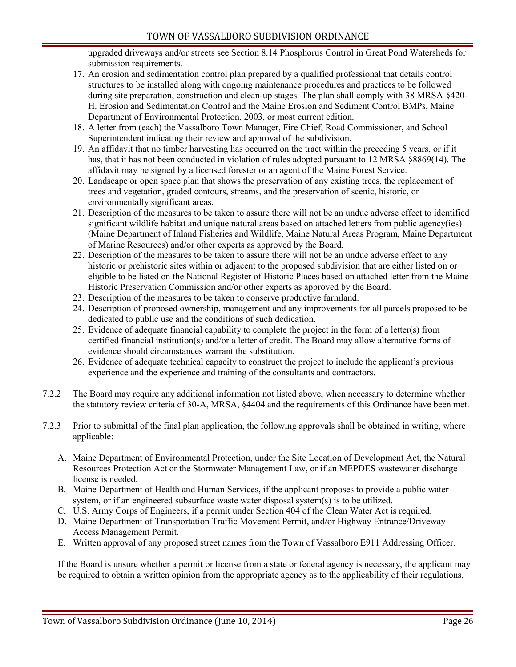upgraded driveways and/or streets see Section 8.14 Phosphorus Control in Great Pond Watersheds for submission requirements.

- 17. An erosion and sedimentation control plan prepared by a qualified professional that details control structures to be installed along with ongoing maintenance procedures and practices to be followed during site preparation, construction and clean-up stages. The plan shall comply with 38 MRSA §420- H. Erosion and Sedimentation Control and the Maine Erosion and Sediment Control BMPs, Maine Department of Environmental Protection, 2003, or most current edition.
- 18. A letter from (each) the Vassalboro Town Manager, Fire Chief, Road Commissioner, and School Superintendent indicating their review and approval of the subdivision.
- 19. An affidavit that no timber harvesting has occurred on the tract within the preceding 5 years, or if it has, that it has not been conducted in violation of rules adopted pursuant to 12 MRSA §8869(14). The affidavit may be signed by a licensed forester or an agent of the Maine Forest Service.
- 20. Landscape or open space plan that shows the preservation of any existing trees, the replacement of trees and vegetation, graded contours, streams, and the preservation of scenic, historic, or environmentally significant areas.
- 21. Description of the measures to be taken to assure there will not be an undue adverse effect to identified significant wildlife habitat and unique natural areas based on attached letters from public agency(ies) (Maine Department of Inland Fisheries and Wildlife, Maine Natural Areas Program, Maine Department of Marine Resources) and/or other experts as approved by the Board.
- 22. Description of the measures to be taken to assure there will not be an undue adverse effect to any historic or prehistoric sites within or adjacent to the proposed subdivision that are either listed on or eligible to be listed on the National Register of Historic Places based on attached letter from the Maine Historic Preservation Commission and/or other experts as approved by the Board.
- 23. Description of the measures to be taken to conserve productive farmland.
- 24. Description of proposed ownership, management and any improvements for all parcels proposed to be dedicated to public use and the conditions of such dedication.
- 25. Evidence of adequate financial capability to complete the project in the form of a letter(s) from certified financial institution(s) and/or a letter of credit. The Board may allow alternative forms of evidence should circumstances warrant the substitution.
- 26. Evidence of adequate technical capacity to construct the project to include the applicant's previous experience and the experience and training of the consultants and contractors.
- 7.2.2 The Board may require any additional information not listed above, when necessary to determine whether the statutory review criteria of 30-A, MRSA, §4404 and the requirements of this Ordinance have been met.
- 7.2.3 Prior to submittal of the final plan application, the following approvals shall be obtained in writing, where applicable:
	- A. Maine Department of Environmental Protection, under the Site Location of Development Act, the Natural Resources Protection Act or the Stormwater Management Law, or if an MEPDES wastewater discharge license is needed.
	- B. Maine Department of Health and Human Services, if the applicant proposes to provide a public water system, or if an engineered subsurface waste water disposal system(s) is to be utilized.
	- C. U.S. Army Corps of Engineers, if a permit under Section 404 of the Clean Water Act is required.
	- D. Maine Department of Transportation Traffic Movement Permit, and/or Highway Entrance/Driveway Access Management Permit.
	- E. Written approval of any proposed street names from the Town of Vassalboro E911 Addressing Officer.

If the Board is unsure whether a permit or license from a state or federal agency is necessary, the applicant may be required to obtain a written opinion from the appropriate agency as to the applicability of their regulations.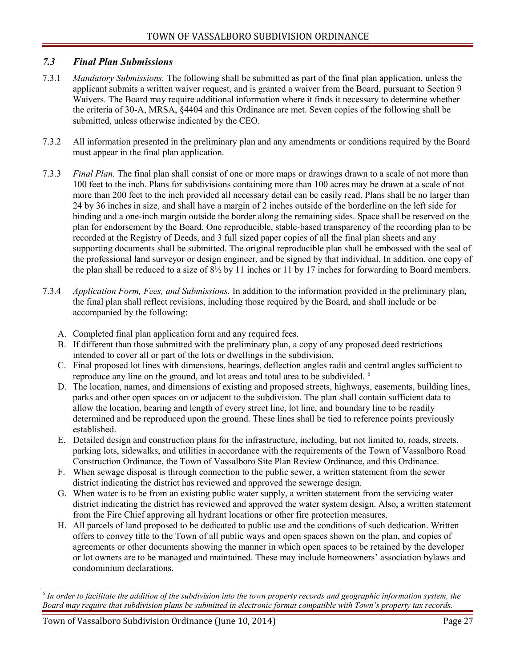#### <span id="page-26-0"></span> *7.3 Final Plan Submissions*

- 7.3.1 *Mandatory Submissions.* The following shall be submitted as part of the final plan application, unless the applicant submits a written waiver request, and is granted a waiver from the Board, pursuant to Section 9 Waivers. The Board may require additional information where it finds it necessary to determine whether the criteria of 30-A, MRSA, §4404 and this Ordinance are met. Seven copies of the following shall be submitted, unless otherwise indicated by the CEO.
- 7.3.2 All information presented in the preliminary plan and any amendments or conditions required by the Board must appear in the final plan application.
- 7.3.3 *Final Plan.* The final plan shall consist of one or more maps or drawings drawn to a scale of not more than 100 feet to the inch. Plans for subdivisions containing more than 100 acres may be drawn at a scale of not more than 200 feet to the inch provided all necessary detail can be easily read. Plans shall be no larger than 24 by 36 inches in size, and shall have a margin of 2 inches outside of the borderline on the left side for binding and a one-inch margin outside the border along the remaining sides. Space shall be reserved on the plan for endorsement by the Board. One reproducible, stable-based transparency of the recording plan to be recorded at the Registry of Deeds, and 3 full sized paper copies of all the final plan sheets and any supporting documents shall be submitted. The original reproducible plan shall be embossed with the seal of the professional land surveyor or design engineer, and be signed by that individual. In addition, one copy of the plan shall be reduced to a size of  $8\frac{1}{2}$  by 11 inches or 11 by 17 inches for forwarding to Board members.
- 7.3.4 *Application Form, Fees, and Submissions.* In addition to the information provided in the preliminary plan, the final plan shall reflect revisions, including those required by the Board, and shall include or be accompanied by the following:
	- A. Completed final plan application form and any required fees.
	- B. If different than those submitted with the preliminary plan, a copy of any proposed deed restrictions intended to cover all or part of the lots or dwellings in the subdivision.
	- C. Final proposed lot lines with dimensions, bearings, deflection angles radii and central angles sufficient to reproduce any line on the ground, and lot areas and total area to be subdivided. [6](#page-26-1)
	- D. The location, names, and dimensions of existing and proposed streets, highways, easements, building lines, parks and other open spaces on or adjacent to the subdivision. The plan shall contain sufficient data to allow the location, bearing and length of every street line, lot line, and boundary line to be readily determined and be reproduced upon the ground. These lines shall be tied to reference points previously established.
	- E. Detailed design and construction plans for the infrastructure, including, but not limited to, roads, streets, parking lots, sidewalks, and utilities in accordance with the requirements of the Town of Vassalboro Road Construction Ordinance, the Town of Vassalboro Site Plan Review Ordinance, and this Ordinance.
	- F. When sewage disposal is through connection to the public sewer, a written statement from the sewer district indicating the district has reviewed and approved the sewerage design.
	- G. When water is to be from an existing public water supply, a written statement from the servicing water district indicating the district has reviewed and approved the water system design. Also, a written statement from the Fire Chief approving all hydrant locations or other fire protection measures.
	- H. All parcels of land proposed to be dedicated to public use and the conditions of such dedication. Written offers to convey title to the Town of all public ways and open spaces shown on the plan, and copies of agreements or other documents showing the manner in which open spaces to be retained by the developer or lot owners are to be managed and maintained. These may include homeowners' association bylaws and condominium declarations.

<span id="page-26-1"></span><sup>6</sup>  *In order to facilitate the addition of the subdivision into the town property records and geographic information system, the Board may require that subdivision plans be submitted in electronic format compatible with Town's property tax records.*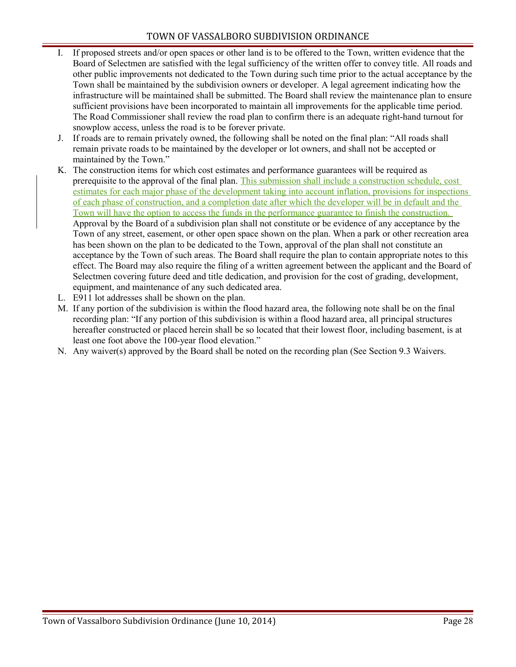- I. If proposed streets and/or open spaces or other land is to be offered to the Town, written evidence that the Board of Selectmen are satisfied with the legal sufficiency of the written offer to convey title. All roads and other public improvements not dedicated to the Town during such time prior to the actual acceptance by the Town shall be maintained by the subdivision owners or developer. A legal agreement indicating how the infrastructure will be maintained shall be submitted. The Board shall review the maintenance plan to ensure sufficient provisions have been incorporated to maintain all improvements for the applicable time period. The Road Commissioner shall review the road plan to confirm there is an adequate right-hand turnout for snowplow access, unless the road is to be forever private.
- J. If roads are to remain privately owned, the following shall be noted on the final plan: "All roads shall remain private roads to be maintained by the developer or lot owners, and shall not be accepted or maintained by the Town."
- K. The construction items for which cost estimates and performance guarantees will be required as prerequisite to the approval of the final plan. This submission shall include a construction schedule, cost estimates for each major phase of the development taking into account inflation, provisions for inspections of each phase of construction, and a completion date after which the developer will be in default and the Town will have the option to access the funds in the performance guarantee to finish the construction. Approval by the Board of a subdivision plan shall not constitute or be evidence of any acceptance by the Town of any street, easement, or other open space shown on the plan. When a park or other recreation area has been shown on the plan to be dedicated to the Town, approval of the plan shall not constitute an acceptance by the Town of such areas. The Board shall require the plan to contain appropriate notes to this effect. The Board may also require the filing of a written agreement between the applicant and the Board of Selectmen covering future deed and title dedication, and provision for the cost of grading, development, equipment, and maintenance of any such dedicated area.
- L. E911 lot addresses shall be shown on the plan.
- M. If any portion of the subdivision is within the flood hazard area, the following note shall be on the final recording plan: "If any portion of this subdivision is within a flood hazard area, all principal structures hereafter constructed or placed herein shall be so located that their lowest floor, including basement, is at least one foot above the 100-year flood elevation."
- N. Any waiver(s) approved by the Board shall be noted on the recording plan (See Section 9.3 Waivers.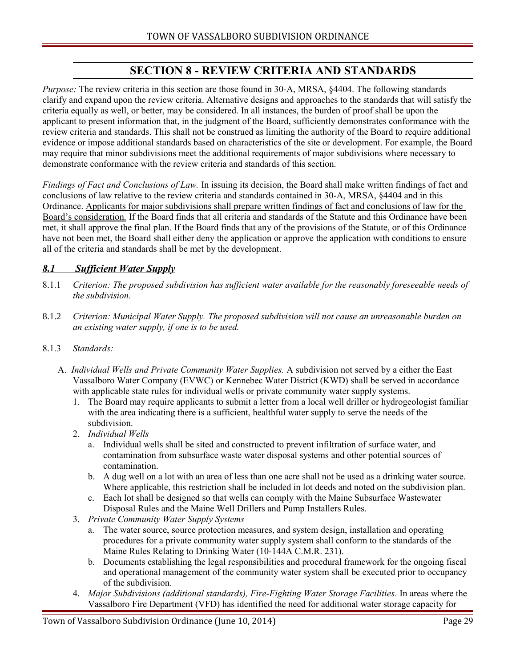# <span id="page-28-1"></span>**SECTION 8 - REVIEW CRITERIA AND STANDARDS**

*Purpose:* The review criteria in this section are those found in 30-A, MRSA, §4404. The following standards clarify and expand upon the review criteria. Alternative designs and approaches to the standards that will satisfy the criteria equally as well, or better, may be considered. In all instances, the burden of proof shall be upon the applicant to present information that, in the judgment of the Board, sufficiently demonstrates conformance with the review criteria and standards. This shall not be construed as limiting the authority of the Board to require additional evidence or impose additional standards based on characteristics of the site or development. For example, the Board may require that minor subdivisions meet the additional requirements of major subdivisions where necessary to demonstrate conformance with the review criteria and standards of this section.

*Findings of Fact and Conclusions of Law.* In issuing its decision, the Board shall make written findings of fact and conclusions of law relative to the review criteria and standards contained in 30-A, MRSA, §4404 and in this Ordinance. Applicants for major subdivisions shall prepare written findings of fact and conclusions of law for the Board's consideration. If the Board finds that all criteria and standards of the Statute and this Ordinance have been met, it shall approve the final plan. If the Board finds that any of the provisions of the Statute, or of this Ordinance have not been met, the Board shall either deny the application or approve the application with conditions to ensure all of the criteria and standards shall be met by the development.

## <span id="page-28-0"></span> *8.1 Sufficient Water Supply*

- 8.1.1 *Criterion: The proposed subdivision has sufficient water available for the reasonably foreseeable needs of the subdivision.*
- 8.1.2 *Criterion: Municipal Water Supply. The proposed subdivision will not cause an unreasonable burden on an existing water supply, if one is to be used.*
- 8.1.3 *Standards:*
	- A. *Individual Wells and Private Community Water Supplies.* A subdivision not served by a either the East Vassalboro Water Company (EVWC) or Kennebec Water District (KWD) shall be served in accordance with applicable state rules for individual wells or private community water supply systems.
		- 1. The Board may require applicants to submit a letter from a local well driller or hydrogeologist familiar with the area indicating there is a sufficient, healthful water supply to serve the needs of the subdivision.
		- 2. *Individual Wells*
			- a. Individual wells shall be sited and constructed to prevent infiltration of surface water, and contamination from subsurface waste water disposal systems and other potential sources of contamination.
			- b. A dug well on a lot with an area of less than one acre shall not be used as a drinking water source. Where applicable, this restriction shall be included in lot deeds and noted on the subdivision plan.
			- c. Each lot shall be designed so that wells can comply with the Maine Subsurface Wastewater Disposal Rules and the Maine Well Drillers and Pump Installers Rules.
		- 3. *Private Community Water Supply Systems*
			- a. The water source, source protection measures, and system design, installation and operating procedures for a private community water supply system shall conform to the standards of the Maine Rules Relating to Drinking Water (10-144A C.M.R. 231).
			- b. Documents establishing the legal responsibilities and procedural framework for the ongoing fiscal and operational management of the community water system shall be executed prior to occupancy of the subdivision.
		- 4. *Major Subdivisions (additional standards), Fire-Fighting Water Storage Facilities.* In areas where the Vassalboro Fire Department (VFD) has identified the need for additional water storage capacity for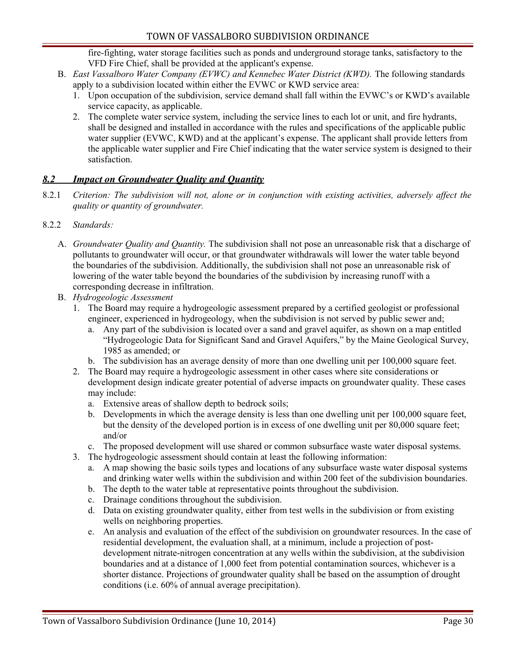fire-fighting, water storage facilities such as ponds and underground storage tanks, satisfactory to the VFD Fire Chief, shall be provided at the applicant's expense.

- B. *East Vassalboro Water Company (EVWC) and Kennebec Water District (KWD).* The following standards apply to a subdivision located within either the EVWC or KWD service area:
	- 1. Upon occupation of the subdivision, service demand shall fall within the EVWC's or KWD's available service capacity, as applicable.
	- 2. The complete water service system, including the service lines to each lot or unit, and fire hydrants, shall be designed and installed in accordance with the rules and specifications of the applicable public water supplier (EVWC, KWD) and at the applicant's expense. The applicant shall provide letters from the applicable water supplier and Fire Chief indicating that the water service system is designed to their satisfaction.

## <span id="page-29-0"></span> *8.2 Impact on Groundwater Quality and Quantity*

8.2.1 *Criterion: The subdivision will not, alone or in conjunction with existing activities, adversely affect the quality or quantity of groundwater.* 

#### 8.2.2 *Standards:*

- A. *Groundwater Quality and Quantity.* The subdivision shall not pose an unreasonable risk that a discharge of pollutants to groundwater will occur, or that groundwater withdrawals will lower the water table beyond the boundaries of the subdivision. Additionally, the subdivision shall not pose an unreasonable risk of lowering of the water table beyond the boundaries of the subdivision by increasing runoff with a corresponding decrease in infiltration.
- B. *Hydrogeologic Assessment*
	- 1. The Board may require a hydrogeologic assessment prepared by a certified geologist or professional engineer, experienced in hydrogeology, when the subdivision is not served by public sewer and;
		- a. Any part of the subdivision is located over a sand and gravel aquifer, as shown on a map entitled "Hydrogeologic Data for Significant Sand and Gravel Aquifers," by the Maine Geological Survey, 1985 as amended; or
		- b. The subdivision has an average density of more than one dwelling unit per 100,000 square feet.
	- 2. The Board may require a hydrogeologic assessment in other cases where site considerations or development design indicate greater potential of adverse impacts on groundwater quality. These cases may include:
		- a. Extensive areas of shallow depth to bedrock soils;
		- b. Developments in which the average density is less than one dwelling unit per 100,000 square feet, but the density of the developed portion is in excess of one dwelling unit per 80,000 square feet; and/or
		- c. The proposed development will use shared or common subsurface waste water disposal systems.
	- 3. The hydrogeologic assessment should contain at least the following information:
		- a. A map showing the basic soils types and locations of any subsurface waste water disposal systems and drinking water wells within the subdivision and within 200 feet of the subdivision boundaries.
		- b. The depth to the water table at representative points throughout the subdivision.
		- c. Drainage conditions throughout the subdivision.
		- d. Data on existing groundwater quality, either from test wells in the subdivision or from existing wells on neighboring properties.
		- e. An analysis and evaluation of the effect of the subdivision on groundwater resources. In the case of residential development, the evaluation shall, at a minimum, include a projection of postdevelopment nitrate-nitrogen concentration at any wells within the subdivision, at the subdivision boundaries and at a distance of 1,000 feet from potential contamination sources, whichever is a shorter distance. Projections of groundwater quality shall be based on the assumption of drought conditions (i.e. 60% of annual average precipitation).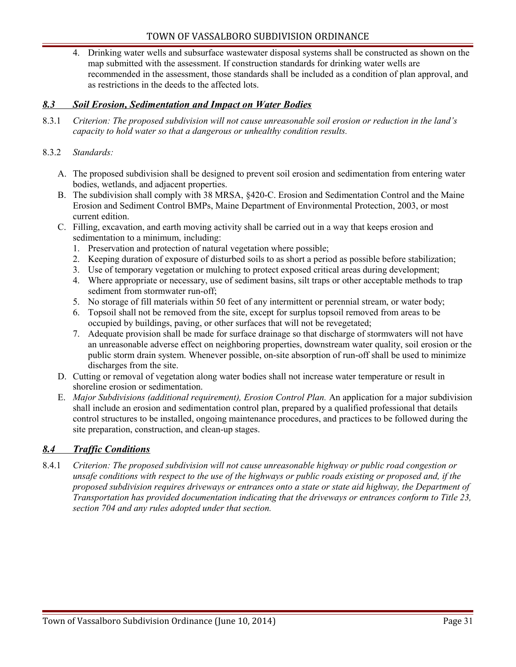4. Drinking water wells and subsurface wastewater disposal systems shall be constructed as shown on the map submitted with the assessment. If construction standards for drinking water wells are recommended in the assessment, those standards shall be included as a condition of plan approval, and as restrictions in the deeds to the affected lots.

#### <span id="page-30-1"></span> *8.3 Soil Erosion, Sedimentation and Impact on Water Bodies*

8.3.1 *Criterion: The proposed subdivision will not cause unreasonable soil erosion or reduction in the land's capacity to hold water so that a dangerous or unhealthy condition results.*

#### 8.3.2 *Standards:*

- A. The proposed subdivision shall be designed to prevent soil erosion and sedimentation from entering water bodies, wetlands, and adjacent properties.
- B. The subdivision shall comply with 38 MRSA, §420-C. Erosion and Sedimentation Control and the Maine Erosion and Sediment Control BMPs, Maine Department of Environmental Protection, 2003, or most current edition.
- C. Filling, excavation, and earth moving activity shall be carried out in a way that keeps erosion and sedimentation to a minimum, including:
	- 1. Preservation and protection of natural vegetation where possible;
	- 2. Keeping duration of exposure of disturbed soils to as short a period as possible before stabilization;
	- 3. Use of temporary vegetation or mulching to protect exposed critical areas during development;
	- 4. Where appropriate or necessary, use of sediment basins, silt traps or other acceptable methods to trap sediment from stormwater run-off;
	- 5. No storage of fill materials within 50 feet of any intermittent or perennial stream, or water body;
	- 6. Topsoil shall not be removed from the site, except for surplus topsoil removed from areas to be occupied by buildings, paving, or other surfaces that will not be revegetated;
	- 7. Adequate provision shall be made for surface drainage so that discharge of stormwaters will not have an unreasonable adverse effect on neighboring properties, downstream water quality, soil erosion or the public storm drain system. Whenever possible, on-site absorption of run-off shall be used to minimize discharges from the site.
- D. Cutting or removal of vegetation along water bodies shall not increase water temperature or result in shoreline erosion or sedimentation.
- E. *Major Subdivisions (additional requirement), Erosion Control Plan.* An application for a major subdivision shall include an erosion and sedimentation control plan, prepared by a qualified professional that details control structures to be installed, ongoing maintenance procedures, and practices to be followed during the site preparation, construction, and clean-up stages.

#### <span id="page-30-0"></span> *8.4 Traffic Conditions*

8.4.1 *Criterion: The proposed subdivision will not cause unreasonable highway or public road congestion or unsafe conditions with respect to the use of the highways or public roads existing or proposed and, if the proposed subdivision requires driveways or entrances onto a state or state aid highway, the Department of Transportation has provided documentation indicating that the driveways or entrances conform to Title 23, section 704 and any rules adopted under that section.*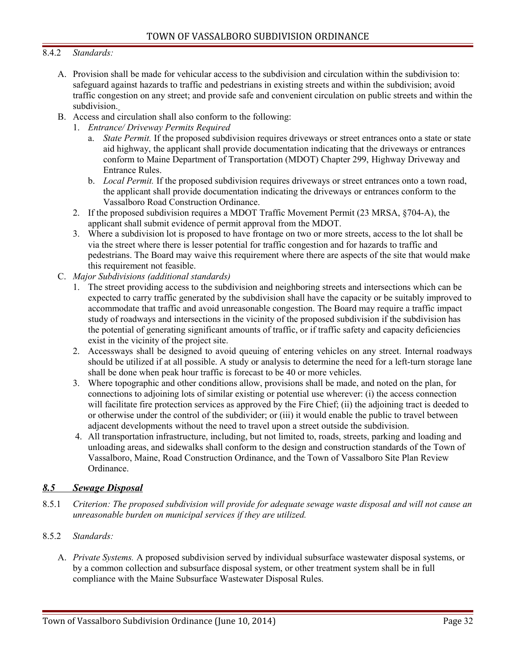#### 8.4.2 *Standards:*

- A. Provision shall be made for vehicular access to the subdivision and circulation within the subdivision to: safeguard against hazards to traffic and pedestrians in existing streets and within the subdivision; avoid traffic congestion on any street; and provide safe and convenient circulation on public streets and within the subdivision.
- B. Access and circulation shall also conform to the following:
	- 1. *Entrance/ Driveway Permits Required*
		- a. *State Permit.* If the proposed subdivision requires driveways or street entrances onto a state or state aid highway, the applicant shall provide documentation indicating that the driveways or entrances conform to Maine Department of Transportation (MDOT) Chapter 299, Highway Driveway and Entrance Rules.
		- b. *Local Permit.* If the proposed subdivision requires driveways or street entrances onto a town road, the applicant shall provide documentation indicating the driveways or entrances conform to the Vassalboro Road Construction Ordinance.
	- 2. If the proposed subdivision requires a MDOT Traffic Movement Permit (23 MRSA, §704-A), the applicant shall submit evidence of permit approval from the MDOT.
	- 3. Where a subdivision lot is proposed to have frontage on two or more streets, access to the lot shall be via the street where there is lesser potential for traffic congestion and for hazards to traffic and pedestrians. The Board may waive this requirement where there are aspects of the site that would make this requirement not feasible.
- C. *Major Subdivisions (additional standards)*
	- 1. The street providing access to the subdivision and neighboring streets and intersections which can be expected to carry traffic generated by the subdivision shall have the capacity or be suitably improved to accommodate that traffic and avoid unreasonable congestion. The Board may require a traffic impact study of roadways and intersections in the vicinity of the proposed subdivision if the subdivision has the potential of generating significant amounts of traffic, or if traffic safety and capacity deficiencies exist in the vicinity of the project site.
	- 2. Accessways shall be designed to avoid queuing of entering vehicles on any street. Internal roadways should be utilized if at all possible. A study or analysis to determine the need for a left-turn storage lane shall be done when peak hour traffic is forecast to be 40 or more vehicles.
	- 3. Where topographic and other conditions allow, provisions shall be made, and noted on the plan, for connections to adjoining lots of similar existing or potential use wherever: (i) the access connection will facilitate fire protection services as approved by the Fire Chief; (ii) the adjoining tract is deeded to or otherwise under the control of the subdivider; or (iii) it would enable the public to travel between adjacent developments without the need to travel upon a street outside the subdivision.
	- 4. All transportation infrastructure, including, but not limited to, roads, streets, parking and loading and unloading areas, and sidewalks shall conform to the design and construction standards of the Town of Vassalboro, Maine, Road Construction Ordinance, and the Town of Vassalboro Site Plan Review Ordinance.

#### <span id="page-31-0"></span> *8.5 Sewage Disposal*

- 8.5.1 *Criterion: The proposed subdivision will provide for adequate sewage waste disposal and will not cause an unreasonable burden on municipal services if they are utilized.*
- 8.5.2 *Standards:*
	- A. *Private Systems.* A proposed subdivision served by individual subsurface wastewater disposal systems, or by a common collection and subsurface disposal system, or other treatment system shall be in full compliance with the Maine Subsurface Wastewater Disposal Rules.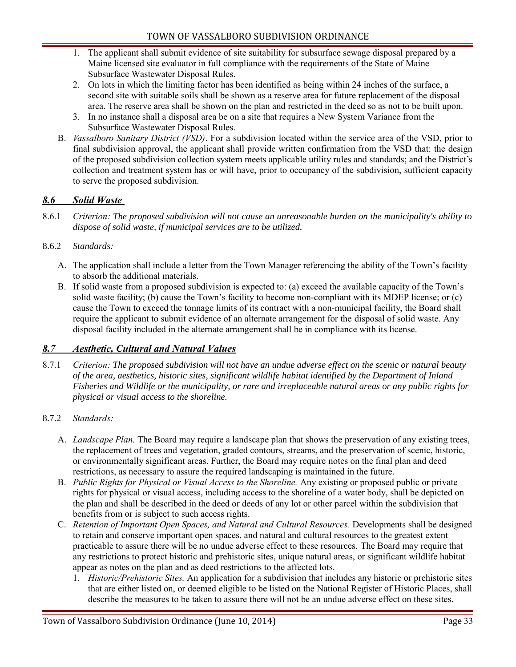- 1. The applicant shall submit evidence of site suitability for subsurface sewage disposal prepared by a Maine licensed site evaluator in full compliance with the requirements of the State of Maine Subsurface Wastewater Disposal Rules.
- 2. On lots in which the limiting factor has been identified as being within 24 inches of the surface, a second site with suitable soils shall be shown as a reserve area for future replacement of the disposal area. The reserve area shall be shown on the plan and restricted in the deed so as not to be built upon.
- 3. In no instance shall a disposal area be on a site that requires a New System Variance from the Subsurface Wastewater Disposal Rules.
- B. *Vassalboro Sanitary District (VSD)*. For a subdivision located within the service area of the VSD, prior to final subdivision approval, the applicant shall provide written confirmation from the VSD that: the design of the proposed subdivision collection system meets applicable utility rules and standards; and the District's collection and treatment system has or will have, prior to occupancy of the subdivision, sufficient capacity to serve the proposed subdivision.

## <span id="page-32-0"></span> *8.6 Solid Waste*

8.6.1 *Criterion: The proposed subdivision will not cause an unreasonable burden on the municipality's ability to dispose of solid waste, if municipal services are to be utilized.*

## 8.6.2 *Standards:*

- A. The application shall include a letter from the Town Manager referencing the ability of the Town's facility to absorb the additional materials.
- B. If solid waste from a proposed subdivision is expected to: (a) exceed the available capacity of the Town's solid waste facility; (b) cause the Town's facility to become non-compliant with its MDEP license; or (c) cause the Town to exceed the tonnage limits of its contract with a non-municipal facility, the Board shall require the applicant to submit evidence of an alternate arrangement for the disposal of solid waste. Any disposal facility included in the alternate arrangement shall be in compliance with its license.

## <span id="page-32-1"></span> *8.7 Aesthetic, Cultural and Natural Values*

- 8.7.1 *Criterion: The proposed subdivision will not have an undue adverse effect on the scenic or natural beauty of the area, aesthetics, historic sites, significant wildlife habitat identified by the Department of Inland Fisheries and Wildlife or the municipality, or rare and irreplaceable natural areas or any public rights for physical or visual access to the shoreline.*
- 8.7.2 *Standards:*
	- A. *Landscape Plan.* The Board may require a landscape plan that shows the preservation of any existing trees, the replacement of trees and vegetation, graded contours, streams, and the preservation of scenic, historic, or environmentally significant areas. Further, the Board may require notes on the final plan and deed restrictions, as necessary to assure the required landscaping is maintained in the future.
	- B. *Public Rights for Physical or Visual Access to the Shoreline.* Any existing or proposed public or private rights for physical or visual access, including access to the shoreline of a water body, shall be depicted on the plan and shall be described in the deed or deeds of any lot or other parcel within the subdivision that benefits from or is subject to such access rights.
	- C. *Retention of Important Open Spaces, and Natural and Cultural Resources.* Developments shall be designed to retain and conserve important open spaces, and natural and cultural resources to the greatest extent practicable to assure there will be no undue adverse effect to these resources. The Board may require that any restrictions to protect historic and prehistoric sites, unique natural areas, or significant wildlife habitat appear as notes on the plan and as deed restrictions to the affected lots.
		- 1. *Historic/Prehistoric Sites.* An application for a subdivision that includes any historic or prehistoric sites that are either listed on, or deemed eligible to be listed on the National Register of Historic Places, shall describe the measures to be taken to assure there will not be an undue adverse effect on these sites.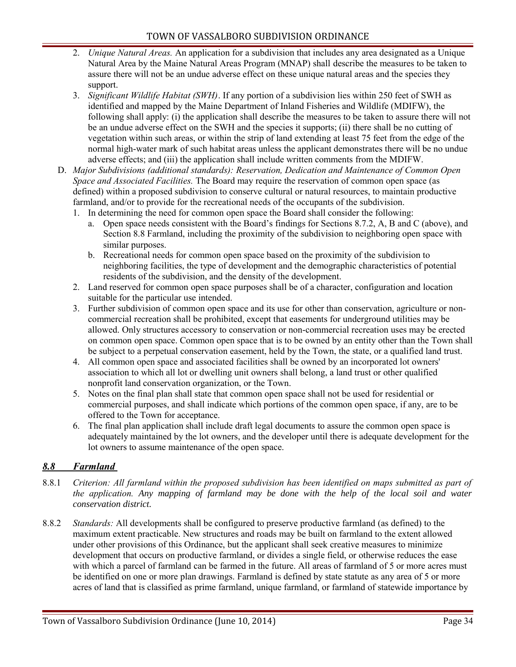- 2. *Unique Natural Areas.* An application for a subdivision that includes any area designated as a Unique Natural Area by the Maine Natural Areas Program (MNAP) shall describe the measures to be taken to assure there will not be an undue adverse effect on these unique natural areas and the species they support.
- 3. *Significant Wildlife Habitat (SWH)*. If any portion of a subdivision lies within 250 feet of SWH as identified and mapped by the Maine Department of Inland Fisheries and Wildlife (MDIFW), the following shall apply: (i) the application shall describe the measures to be taken to assure there will not be an undue adverse effect on the SWH and the species it supports; (ii) there shall be no cutting of vegetation within such areas, or within the strip of land extending at least 75 feet from the edge of the normal high-water mark of such habitat areas unless the applicant demonstrates there will be no undue adverse effects; and (iii) the application shall include written comments from the MDIFW.
- D. *Major Subdivisions (additional standards): Reservation, Dedication and Maintenance of Common Open Space and Associated Facilities.* The Board may require the reservation of common open space (as defined) within a proposed subdivision to conserve cultural or natural resources, to maintain productive farmland, and/or to provide for the recreational needs of the occupants of the subdivision.
	- 1. In determining the need for common open space the Board shall consider the following:
		- a. Open space needs consistent with the Board's findings for Sections 8.7.2, A, B and C (above), and Section 8.8 Farmland, including the proximity of the subdivision to neighboring open space with similar purposes.
		- b. Recreational needs for common open space based on the proximity of the subdivision to neighboring facilities, the type of development and the demographic characteristics of potential residents of the subdivision, and the density of the development.
	- 2. Land reserved for common open space purposes shall be of a character, configuration and location suitable for the particular use intended.
	- 3. Further subdivision of common open space and its use for other than conservation, agriculture or noncommercial recreation shall be prohibited, except that easements for underground utilities may be allowed. Only structures accessory to conservation or non-commercial recreation uses may be erected on common open space. Common open space that is to be owned by an entity other than the Town shall be subject to a perpetual conservation easement, held by the Town, the state, or a qualified land trust.
	- 4. All common open space and associated facilities shall be owned by an incorporated lot owners' association to which all lot or dwelling unit owners shall belong, a land trust or other qualified nonprofit land conservation organization, or the Town.
	- 5. Notes on the final plan shall state that common open space shall not be used for residential or commercial purposes, and shall indicate which portions of the common open space, if any, are to be offered to the Town for acceptance.
	- 6. The final plan application shall include draft legal documents to assure the common open space is adequately maintained by the lot owners, and the developer until there is adequate development for the lot owners to assume maintenance of the open space.

#### <span id="page-33-0"></span> *8.8 Farmland*

- 8.8.1 *Criterion: All farmland within the proposed subdivision has been identified on maps submitted as part of the application. Any mapping of farmland may be done with the help of the local soil and water conservation district.*
- 8.8.2 *Standards:* All developments shall be configured to preserve productive farmland (as defined) to the maximum extent practicable. New structures and roads may be built on farmland to the extent allowed under other provisions of this Ordinance, but the applicant shall seek creative measures to minimize development that occurs on productive farmland, or divides a single field, or otherwise reduces the ease with which a parcel of farmland can be farmed in the future. All areas of farmland of 5 or more acres must be identified on one or more plan drawings. Farmland is defined by state statute as any area of 5 or more acres of land that is classified as prime farmland, unique farmland, or farmland of statewide importance by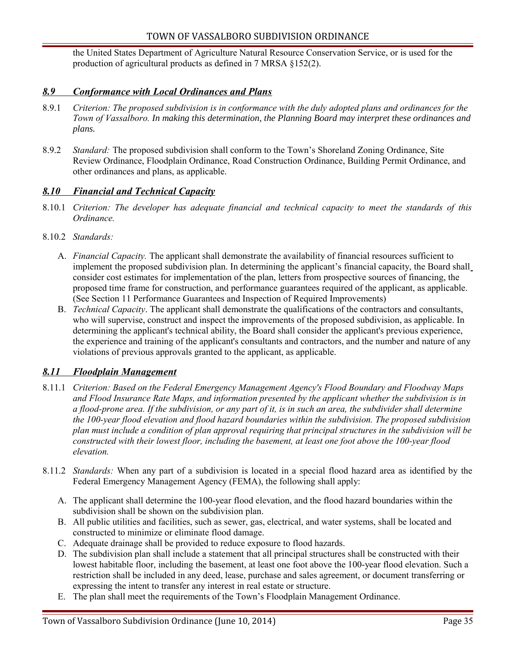the United States Department of Agriculture Natural Resource Conservation Service, or is used for the production of agricultural products as defined in 7 MRSA §152(2).

#### <span id="page-34-2"></span> *8.9 Conformance with Local Ordinances and Plans*

- 8.9.1 *Criterion: The proposed subdivision is in conformance with the duly adopted plans and ordinances for the Town of Vassalboro. In making this determination, the Planning Board may interpret these ordinances and plans.*
- 8.9.2 *Standard:* The proposed subdivision shall conform to the Town's Shoreland Zoning Ordinance, Site Review Ordinance, Floodplain Ordinance, Road Construction Ordinance, Building Permit Ordinance, and other ordinances and plans, as applicable.

#### <span id="page-34-1"></span> *8.10 Financial and Technical Capacity*

- 8.10.1 *Criterion: The developer has adequate financial and technical capacity to meet the standards of this Ordinance.*
- 8.10.2 *Standards:*
	- A. *Financial Capacity.* The applicant shall demonstrate the availability of financial resources sufficient to implement the proposed subdivision plan. In determining the applicant's financial capacity, the Board shall consider cost estimates for implementation of the plan, letters from prospective sources of financing, the proposed time frame for construction, and performance guarantees required of the applicant, as applicable. (See Section 11 Performance Guarantees and Inspection of Required Improvements)
	- B. *Technical Capacity*. The applicant shall demonstrate the qualifications of the contractors and consultants, who will supervise, construct and inspect the improvements of the proposed subdivision, as applicable. In determining the applicant's technical ability, the Board shall consider the applicant's previous experience, the experience and training of the applicant's consultants and contractors, and the number and nature of any violations of previous approvals granted to the applicant, as applicable.

#### <span id="page-34-0"></span> *8.11 Floodplain Management*

- 8.11.1 *Criterion: Based on the Federal Emergency Management Agency's Flood Boundary and Floodway Maps and Flood Insurance Rate Maps, and information presented by the applicant whether the subdivision is in a flood-prone area. If the subdivision, or any part of it, is in such an area, the subdivider shall determine the 100-year flood elevation and flood hazard boundaries within the subdivision. The proposed subdivision plan must include a condition of plan approval requiring that principal structures in the subdivision will be constructed with their lowest floor, including the basement, at least one foot above the 100-year flood elevation.*
- 8.11.2 *Standards:* When any part of a subdivision is located in a special flood hazard area as identified by the Federal Emergency Management Agency (FEMA), the following shall apply:
	- A. The applicant shall determine the 100-year flood elevation, and the flood hazard boundaries within the subdivision shall be shown on the subdivision plan.
	- B. All public utilities and facilities, such as sewer, gas, electrical, and water systems, shall be located and constructed to minimize or eliminate flood damage.
	- C. Adequate drainage shall be provided to reduce exposure to flood hazards.
	- D. The subdivision plan shall include a statement that all principal structures shall be constructed with their lowest habitable floor, including the basement, at least one foot above the 100-year flood elevation. Such a restriction shall be included in any deed, lease, purchase and sales agreement, or document transferring or expressing the intent to transfer any interest in real estate or structure.
	- E. The plan shall meet the requirements of the Town's Floodplain Management Ordinance.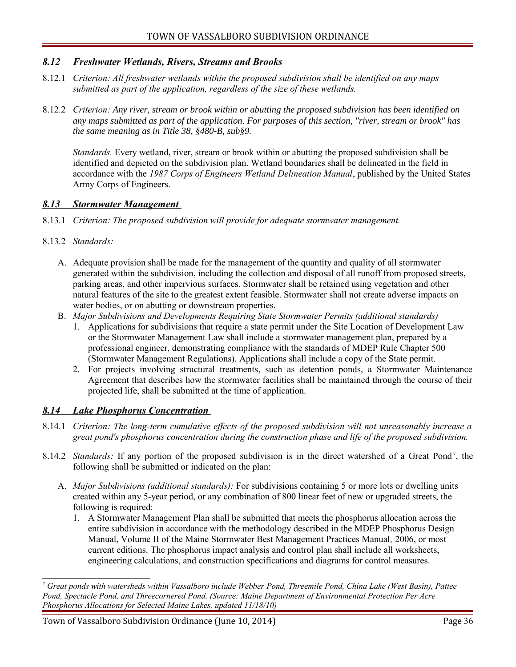#### <span id="page-35-2"></span> *8.12 Freshwater Wetlands, Rivers, Streams and Brooks*

- 8.12.1 *Criterion: All freshwater wetlands within the proposed subdivision shall be identified on any maps submitted as part of the application, regardless of the size of these wetlands.*
- 8.12.2 *Criterion: Any river, stream or brook within or abutting the proposed subdivision has been identified on any maps submitted as part of the application. For purposes of this section, "river, stream or brook" has the same meaning as in Title 38, §480-B, sub§9.*

*Standards.* Every wetland, river, stream or brook within or abutting the proposed subdivision shall be identified and depicted on the subdivision plan. Wetland boundaries shall be delineated in the field in accordance with the *1987 Corps of Engineers Wetland Delineation Manual*, published by the United States Army Corps of Engineers.

#### <span id="page-35-1"></span> *8.13 Stormwater Management*

8.13.1 *Criterion: The proposed subdivision will provide for adequate stormwater management.*

#### 8.13.2 *Standards:*

- A. Adequate provision shall be made for the management of the quantity and quality of all stormwater generated within the subdivision, including the collection and disposal of all runoff from proposed streets, parking areas, and other impervious surfaces. Stormwater shall be retained using vegetation and other natural features of the site to the greatest extent feasible. Stormwater shall not create adverse impacts on water bodies, or on abutting or downstream properties.
- B. *Major Subdivisions and Developments Requiring State Stormwater Permits (additional standards)*
	- 1. Applications for subdivisions that require a state permit under the Site Location of Development Law or the Stormwater Management Law shall include a stormwater management plan, prepared by a professional engineer, demonstrating compliance with the standards of MDEP Rule Chapter 500 (Stormwater Management Regulations). Applications shall include a copy of the State permit.
	- 2. For projects involving structural treatments, such as detention ponds, a Stormwater Maintenance Agreement that describes how the stormwater facilities shall be maintained through the course of their projected life, shall be submitted at the time of application.

#### <span id="page-35-0"></span> *8.14 Lake Phosphorus Concentration*

- 8.14.1 *Criterion: The long-term cumulative effects of the proposed subdivision will not unreasonably increase a great pond's phosphorus concentration during the construction phase and life of the proposed subdivision.*
- 8.14.2 *Standards*: If any portion of the proposed subdivision is in the direct watershed of a Great Pond<sup>[7](#page-35-3)</sup>, the following shall be submitted or indicated on the plan:
	- A. *Major Subdivisions (additional standards):* For subdivisions containing 5 or more lots or dwelling units created within any 5-year period, or any combination of 800 linear feet of new or upgraded streets, the following is required:
		- 1. A Stormwater Management Plan shall be submitted that meets the phosphorus allocation across the entire subdivision in accordance with the methodology described in the MDEP Phosphorus Design Manual, Volume II of the Maine Stormwater Best Management Practices Manual*,* 2006, or most current editions. The phosphorus impact analysis and control plan shall include all worksheets, engineering calculations, and construction specifications and diagrams for control measures.

<span id="page-35-3"></span><sup>7</sup>  *Great ponds with watersheds within Vassalboro include Webber Pond, Threemile Pond, China Lake (West Basin), Pattee Pond, Spectacle Pond, and Threecornered Pond. (Source: Maine Department of Environmental Protection Per Acre Phosphorus Allocations for Selected Maine Lakes, updated 11/18/10)* 

Town of Vassalboro Subdivision Ordinance (June 10, 2014) Page 36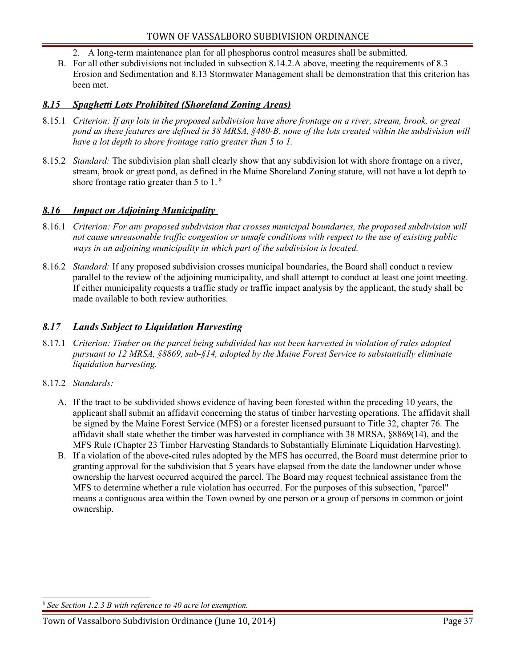- 2. A long-term maintenance plan for all phosphorus control measures shall be submitted.
- B. For all other subdivisions not included in subsection 8.14.2.A above, meeting the requirements of 8.3 Erosion and Sedimentation and 8.13 Stormwater Management shall be demonstration that this criterion has been met.

#### <span id="page-36-2"></span> *8.15 Spaghetti Lots Prohibited (Shoreland Zoning Areas)*

- 8.15.1 *Criterion: If any lots in the proposed subdivision have shore frontage on a river, stream, brook, or great pond as these features are defined in 38 MRSA, §480-B, none of the lots created within the subdivision will have a lot depth to shore frontage ratio greater than 5 to 1.*
- 8.15.2 *Standard:* The subdivision plan shall clearly show that any subdivision lot with shore frontage on a river, stream, brook or great pond, as defined in the Maine Shoreland Zoning statute, will not have a lot depth to shore frontage ratio greater than 5 to 1. [8](#page-36-3)

#### <span id="page-36-1"></span> *8.16 Impact on Adjoining Municipality*

- 8.16.1 *Criterion: For any proposed subdivision that crosses municipal boundaries, the proposed subdivision will not cause unreasonable traffic congestion or unsafe conditions with respect to the use of existing public ways in an adjoining municipality in which part of the subdivision is located.*
- 8.16.2 *Standard:* If any proposed subdivision crosses municipal boundaries, the Board shall conduct a review parallel to the review of the adjoining municipality, and shall attempt to conduct at least one joint meeting. If either municipality requests a traffic study or traffic impact analysis by the applicant, the study shall be made available to both review authorities.

#### <span id="page-36-0"></span> *8.17 Lands Subject to Liquidation Harvesting*

- 8.17.1 *Criterion: Timber on the parcel being subdivided has not been harvested in violation of rules adopted pursuant to 12 MRSA, §8869, sub-§14, adopted by the Maine Forest Service to substantially eliminate liquidation harvesting.*
- 8.17.2 *Standards:*
	- A. If the tract to be subdivided shows evidence of having been forested within the preceding 10 years, the applicant shall submit an affidavit concerning the status of timber harvesting operations. The affidavit shall be signed by the Maine Forest Service (MFS) or a forester licensed pursuant to Title 32, chapter 76. The affidavit shall state whether the timber was harvested in compliance with 38 MRSA, §8869(14), and the MFS Rule (Chapter 23 Timber Harvesting Standards to Substantially Eliminate Liquidation Harvesting).
	- B. If a violation of the above-cited rules adopted by the MFS has occurred, the Board must determine prior to granting approval for the subdivision that 5 years have elapsed from the date the landowner under whose ownership the harvest occurred acquired the parcel. The Board may request technical assistance from the MFS to determine whether a rule violation has occurred. For the purposes of this subsection, "parcel" means a contiguous area within the Town owned by one person or a group of persons in common or joint ownership.

<span id="page-36-3"></span>8  *See Section 1.2.3 B with reference to 40 acre lot exemption.*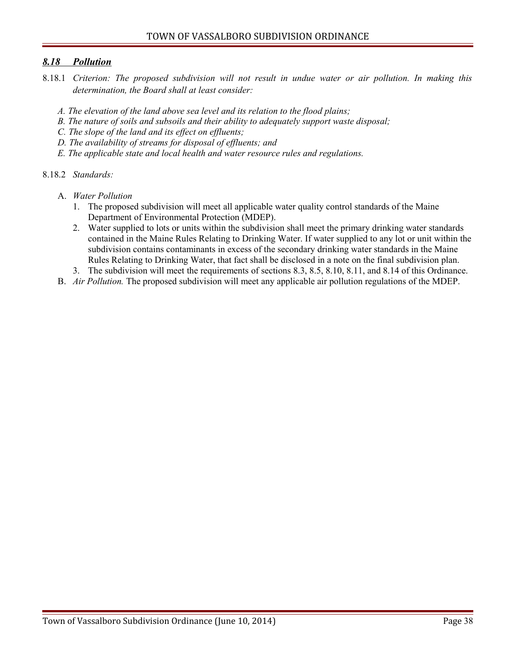#### <span id="page-37-0"></span> *8.18 Pollution*

- 8.18.1 *Criterion: The proposed subdivision will not result in undue water or air pollution. In making this determination, the Board shall at least consider:*
	- *A. The elevation of the land above sea level and its relation to the flood plains;*
	- *B. The nature of soils and subsoils and their ability to adequately support waste disposal;*
	- *C. The slope of the land and its effect on effluents;*
	- *D. The availability of streams for disposal of effluents; and*
	- *E. The applicable state and local health and water resource rules and regulations.*
- 8.18.2 *Standards:*
	- A. *Water Pollution*
		- 1. The proposed subdivision will meet all applicable water quality control standards of the Maine Department of Environmental Protection (MDEP).
		- 2. Water supplied to lots or units within the subdivision shall meet the primary drinking water standards contained in the Maine Rules Relating to Drinking Water. If water supplied to any lot or unit within the subdivision contains contaminants in excess of the secondary drinking water standards in the Maine Rules Relating to Drinking Water, that fact shall be disclosed in a note on the final subdivision plan.
		- 3. The subdivision will meet the requirements of sections 8.3, 8.5, 8.10, 8.11, and 8.14 of this Ordinance.
	- B. *Air Pollution.* The proposed subdivision will meet any applicable air pollution regulations of the MDEP.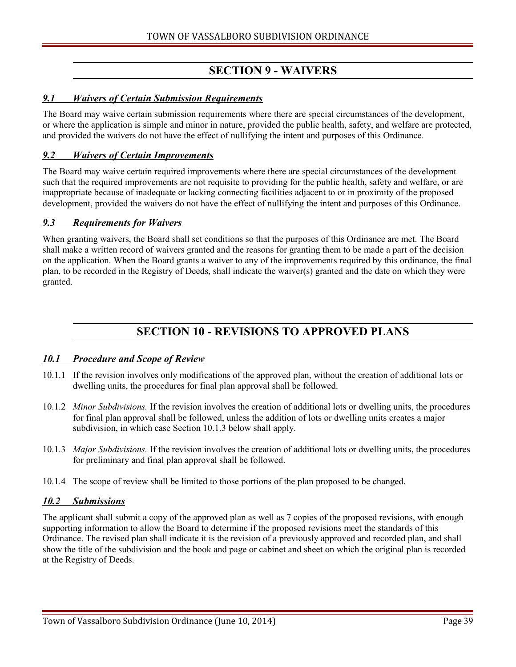# <span id="page-38-6"></span>**SECTION 9 - WAIVERS**

#### <span id="page-38-5"></span> *9.1 Waivers of Certain Submission Requirements*

The Board may waive certain submission requirements where there are special circumstances of the development, or where the application is simple and minor in nature, provided the public health, safety, and welfare are protected, and provided the waivers do not have the effect of nullifying the intent and purposes of this Ordinance.

#### <span id="page-38-4"></span> *9.2 Waivers of Certain Improvements*

The Board may waive certain required improvements where there are special circumstances of the development such that the required improvements are not requisite to providing for the public health, safety and welfare, or are inappropriate because of inadequate or lacking connecting facilities adjacent to or in proximity of the proposed development, provided the waivers do not have the effect of nullifying the intent and purposes of this Ordinance.

#### <span id="page-38-3"></span> *9.3 Requirements for Waivers*

When granting waivers, the Board shall set conditions so that the purposes of this Ordinance are met. The Board shall make a written record of waivers granted and the reasons for granting them to be made a part of the decision on the application. When the Board grants a waiver to any of the improvements required by this ordinance, the final plan, to be recorded in the Registry of Deeds, shall indicate the waiver(s) granted and the date on which they were granted.

## <span id="page-38-2"></span>**SECTION 10 - REVISIONS TO APPROVED PLANS**

#### <span id="page-38-1"></span> *10.1 Procedure and Scope of Review*

- 10.1.1 If the revision involves only modifications of the approved plan, without the creation of additional lots or dwelling units, the procedures for final plan approval shall be followed.
- 10.1.2 *Minor Subdivisions.* If the revision involves the creation of additional lots or dwelling units, the procedures for final plan approval shall be followed, unless the addition of lots or dwelling units creates a major subdivision, in which case Section 10.1.3 below shall apply.
- 10.1.3 *Major Subdivisions.* If the revision involves the creation of additional lots or dwelling units, the procedures for preliminary and final plan approval shall be followed.
- 10.1.4 The scope of review shall be limited to those portions of the plan proposed to be changed.

#### <span id="page-38-0"></span> *10.2 Submissions*

The applicant shall submit a copy of the approved plan as well as 7 copies of the proposed revisions, with enough supporting information to allow the Board to determine if the proposed revisions meet the standards of this Ordinance. The revised plan shall indicate it is the revision of a previously approved and recorded plan, and shall show the title of the subdivision and the book and page or cabinet and sheet on which the original plan is recorded at the Registry of Deeds.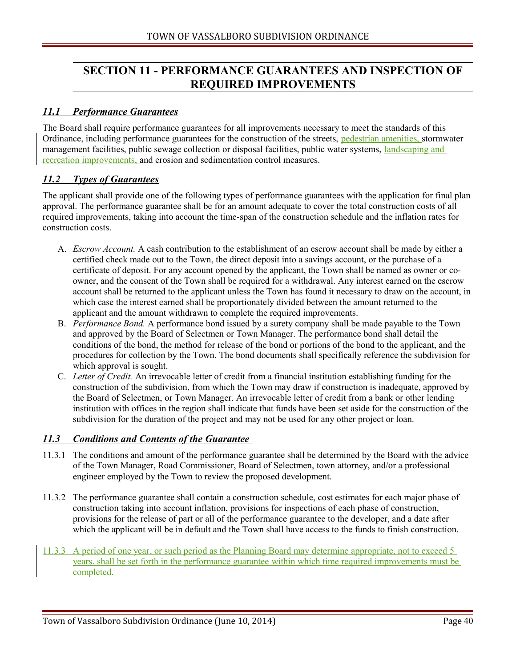# <span id="page-39-3"></span>**SECTION 11 - PERFORMANCE GUARANTEES AND INSPECTION OF REQUIRED IMPROVEMENTS**

#### <span id="page-39-2"></span> *11.1 Performance Guarantees*

The Board shall require performance guarantees for all improvements necessary to meet the standards of this Ordinance, including performance guarantees for the construction of the streets, pedestrian amenities, stormwater management facilities, public sewage collection or disposal facilities, public water systems, landscaping and recreation improvements, and erosion and sedimentation control measures.

#### <span id="page-39-1"></span> *11.2 Types of Guarantees*

The applicant shall provide one of the following types of performance guarantees with the application for final plan approval. The performance guarantee shall be for an amount adequate to cover the total construction costs of all required improvements, taking into account the time-span of the construction schedule and the inflation rates for construction costs.

- A. *Escrow Account.* A cash contribution to the establishment of an escrow account shall be made by either a certified check made out to the Town, the direct deposit into a savings account, or the purchase of a certificate of deposit. For any account opened by the applicant, the Town shall be named as owner or coowner, and the consent of the Town shall be required for a withdrawal. Any interest earned on the escrow account shall be returned to the applicant unless the Town has found it necessary to draw on the account, in which case the interest earned shall be proportionately divided between the amount returned to the applicant and the amount withdrawn to complete the required improvements.
- B. *Performance Bond.* A performance bond issued by a surety company shall be made payable to the Town and approved by the Board of Selectmen or Town Manager. The performance bond shall detail the conditions of the bond, the method for release of the bond or portions of the bond to the applicant, and the procedures for collection by the Town. The bond documents shall specifically reference the subdivision for which approval is sought.
- C. *Letter of Credit.* An irrevocable letter of credit from a financial institution establishing funding for the construction of the subdivision, from which the Town may draw if construction is inadequate, approved by the Board of Selectmen, or Town Manager. An irrevocable letter of credit from a bank or other lending institution with offices in the region shall indicate that funds have been set aside for the construction of the subdivision for the duration of the project and may not be used for any other project or loan.

#### <span id="page-39-0"></span> *11.3 Conditions and Contents of the Guarantee*

- 11.3.1 The conditions and amount of the performance guarantee shall be determined by the Board with the advice of the Town Manager, Road Commissioner, Board of Selectmen, town attorney, and/or a professional engineer employed by the Town to review the proposed development.
- 11.3.2 The performance guarantee shall contain a construction schedule, cost estimates for each major phase of construction taking into account inflation, provisions for inspections of each phase of construction, provisions for the release of part or all of the performance guarantee to the developer, and a date after which the applicant will be in default and the Town shall have access to the funds to finish construction.
- 11.3.3 A period of one year, or such period as the Planning Board may determine appropriate, not to exceed 5 years, shall be set forth in the performance guarantee within which time required improvements must be completed.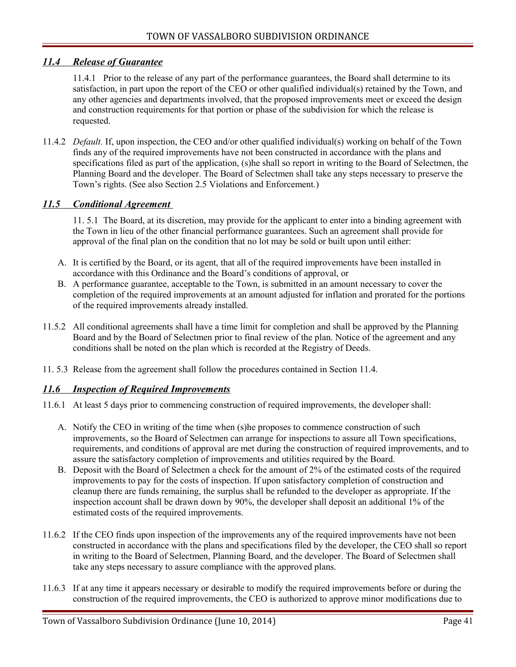#### <span id="page-40-2"></span> *11.4 Release of Guarantee*

11.4.1 Prior to the release of any part of the performance guarantees, the Board shall determine to its satisfaction, in part upon the report of the CEO or other qualified individual(s) retained by the Town, and any other agencies and departments involved, that the proposed improvements meet or exceed the design and construction requirements for that portion or phase of the subdivision for which the release is requested.

11.4.2 *Default.* If, upon inspection, the CEO and/or other qualified individual(s) working on behalf of the Town finds any of the required improvements have not been constructed in accordance with the plans and specifications filed as part of the application, (s)he shall so report in writing to the Board of Selectmen, the Planning Board and the developer. The Board of Selectmen shall take any steps necessary to preserve the Town's rights. (See also Section 2.5 Violations and Enforcement.)

#### <span id="page-40-1"></span> *11.5 Conditional Agreement*

11. 5.1 The Board, at its discretion, may provide for the applicant to enter into a binding agreement with the Town in lieu of the other financial performance guarantees. Such an agreement shall provide for approval of the final plan on the condition that no lot may be sold or built upon until either:

- A. It is certified by the Board, or its agent, that all of the required improvements have been installed in accordance with this Ordinance and the Board's conditions of approval, or
- B. A performance guarantee, acceptable to the Town, is submitted in an amount necessary to cover the completion of the required improvements at an amount adjusted for inflation and prorated for the portions of the required improvements already installed.
- 11.5.2 All conditional agreements shall have a time limit for completion and shall be approved by the Planning Board and by the Board of Selectmen prior to final review of the plan. Notice of the agreement and any conditions shall be noted on the plan which is recorded at the Registry of Deeds.
- 11. 5.3 Release from the agreement shall follow the procedures contained in Section 11.4.

#### <span id="page-40-0"></span> *11.6 Inspection of Required Improvements*

- 11.6.1 At least 5 days prior to commencing construction of required improvements, the developer shall:
	- A. Notify the CEO in writing of the time when (s)he proposes to commence construction of such improvements, so the Board of Selectmen can arrange for inspections to assure all Town specifications, requirements, and conditions of approval are met during the construction of required improvements, and to assure the satisfactory completion of improvements and utilities required by the Board.
	- B. Deposit with the Board of Selectmen a check for the amount of 2% of the estimated costs of the required improvements to pay for the costs of inspection. If upon satisfactory completion of construction and cleanup there are funds remaining, the surplus shall be refunded to the developer as appropriate. If the inspection account shall be drawn down by 90%, the developer shall deposit an additional 1% of the estimated costs of the required improvements.
- 11.6.2 If the CEO finds upon inspection of the improvements any of the required improvements have not been constructed in accordance with the plans and specifications filed by the developer, the CEO shall so report in writing to the Board of Selectmen, Planning Board, and the developer. The Board of Selectmen shall take any steps necessary to assure compliance with the approved plans.
- 11.6.3 If at any time it appears necessary or desirable to modify the required improvements before or during the construction of the required improvements, the CEO is authorized to approve minor modifications due to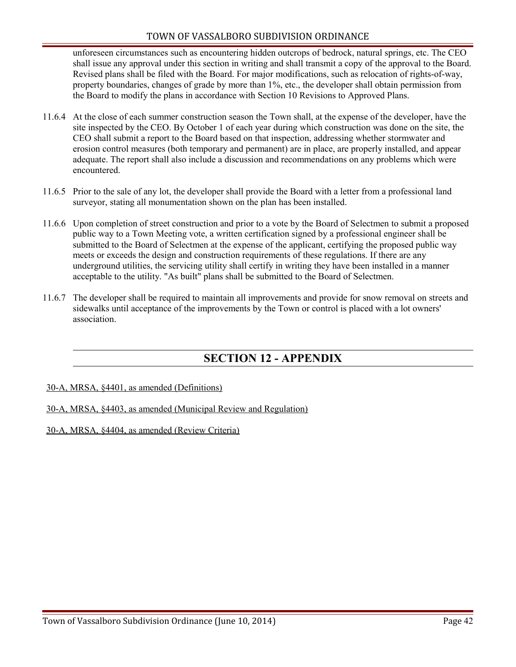#### TOWN OF VASSALBORO SUBDIVISION ORDINANCE

unforeseen circumstances such as encountering hidden outcrops of bedrock, natural springs, etc. The CEO shall issue any approval under this section in writing and shall transmit a copy of the approval to the Board. Revised plans shall be filed with the Board. For major modifications, such as relocation of rights-of-way, property boundaries, changes of grade by more than 1%, etc., the developer shall obtain permission from the Board to modify the plans in accordance with Section 10 Revisions to Approved Plans.

- 11.6.4 At the close of each summer construction season the Town shall, at the expense of the developer, have the site inspected by the CEO. By October 1 of each year during which construction was done on the site, the CEO shall submit a report to the Board based on that inspection, addressing whether stormwater and erosion control measures (both temporary and permanent) are in place, are properly installed, and appear adequate. The report shall also include a discussion and recommendations on any problems which were encountered.
- 11.6.5 Prior to the sale of any lot, the developer shall provide the Board with a letter from a professional land surveyor, stating all monumentation shown on the plan has been installed.
- 11.6.6 Upon completion of street construction and prior to a vote by the Board of Selectmen to submit a proposed public way to a Town Meeting vote, a written certification signed by a professional engineer shall be submitted to the Board of Selectmen at the expense of the applicant, certifying the proposed public way meets or exceeds the design and construction requirements of these regulations. If there are any underground utilities, the servicing utility shall certify in writing they have been installed in a manner acceptable to the utility. "As built" plans shall be submitted to the Board of Selectmen.
- 11.6.7 The developer shall be required to maintain all improvements and provide for snow removal on streets and sidewalks until acceptance of the improvements by the Town or control is placed with a lot owners' association.

## <span id="page-41-0"></span>**SECTION 12 - APPENDIX**

30-A, MRSA, §4401, as amended (Definitions)

#### 30-A, MRSA, §4403, as amended (Municipal Review and Regulation)

#### 30-A, MRSA, §4404, as amended (Review Criteria)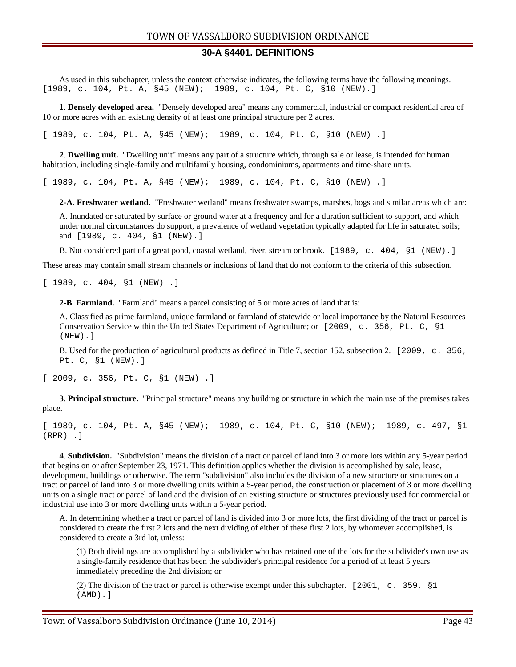#### **30-A §4401. DEFINITIONS**

As used in this subchapter, unless the context otherwise indicates, the following terms have the following meanings. [1989, c. 104, Pt. A, §45 (NEW); 1989, c. 104, Pt. C, §10 (NEW).]

**1**. **Densely developed area.** "Densely developed area" means any commercial, industrial or compact residential area of 10 or more acres with an existing density of at least one principal structure per 2 acres.

[ 1989, c. 104, Pt. A, §45 (NEW); 1989, c. 104, Pt. C, §10 (NEW) .]

**2**. **Dwelling unit.** "Dwelling unit" means any part of a structure which, through sale or lease, is intended for human habitation, including single-family and multifamily housing, condominiums, apartments and time-share units.

[ 1989, c. 104, Pt. A, §45 (NEW); 1989, c. 104, Pt. C, §10 (NEW) .]

**2-A**. **Freshwater wetland.** "Freshwater wetland" means freshwater swamps, marshes, bogs and similar areas which are:

A. Inundated or saturated by surface or ground water at a frequency and for a duration sufficient to support, and which under normal circumstances do support, a prevalence of wetland vegetation typically adapted for life in saturated soils; and [1989, c. 404, §1 (NEW).]

B. Not considered part of a great pond, coastal wetland, river, stream or brook. [1989, c. 404, §1 (NEW).]

These areas may contain small stream channels or inclusions of land that do not conform to the criteria of this subsection.

[ 1989, c. 404, §1 (NEW) .]

**2-B**. **Farmland.** "Farmland" means a parcel consisting of 5 or more acres of land that is:

A. Classified as prime farmland, unique farmland or farmland of statewide or local importance by the Natural Resources Conservation Service within the United States Department of Agriculture; or [2009, c. 356, Pt. C, §1 (NEW).]

B. Used for the production of agricultural products as defined in Title 7, section 152, subsection 2. [2009, c. 356, Pt. C, §1 (NEW).]

[ 2009, c. 356, Pt. C, §1 (NEW) .]

**3**. **Principal structure.** "Principal structure" means any building or structure in which the main use of the premises takes place.

[ 1989, c. 104, Pt. A, §45 (NEW); 1989, c. 104, Pt. C, §10 (NEW); 1989, c. 497, §1 (RPR) .]

**4**. **Subdivision.** "Subdivision" means the division of a tract or parcel of land into 3 or more lots within any 5-year period that begins on or after September 23, 1971. This definition applies whether the division is accomplished by sale, lease, development, buildings or otherwise. The term "subdivision" also includes the division of a new structure or structures on a tract or parcel of land into 3 or more dwelling units within a 5-year period, the construction or placement of 3 or more dwelling units on a single tract or parcel of land and the division of an existing structure or structures previously used for commercial or industrial use into 3 or more dwelling units within a 5-year period.

A. In determining whether a tract or parcel of land is divided into 3 or more lots, the first dividing of the tract or parcel is considered to create the first 2 lots and the next dividing of either of these first 2 lots, by whomever accomplished, is considered to create a 3rd lot, unless:

(1) Both dividings are accomplished by a subdivider who has retained one of the lots for the subdivider's own use as a single-family residence that has been the subdivider's principal residence for a period of at least 5 years immediately preceding the 2nd division; or

(2) The division of the tract or parcel is otherwise exempt under this subchapter. [2001, c. 359, §1 (AMD).]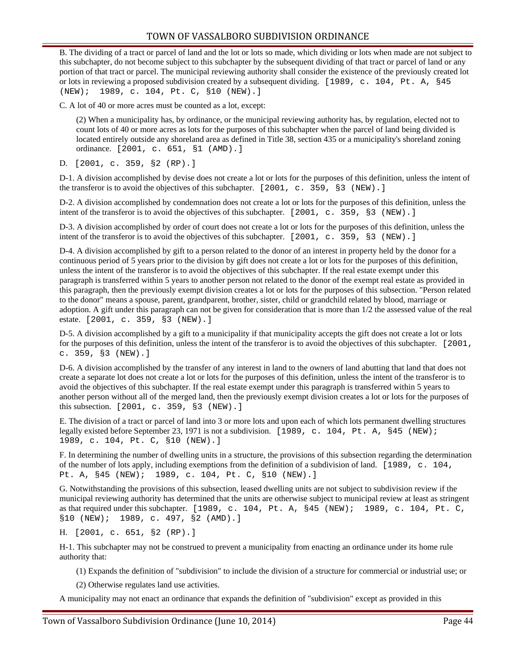B. The dividing of a tract or parcel of land and the lot or lots so made, which dividing or lots when made are not subject to this subchapter, do not become subject to this subchapter by the subsequent dividing of that tract or parcel of land or any portion of that tract or parcel. The municipal reviewing authority shall consider the existence of the previously created lot or lots in reviewing a proposed subdivision created by a subsequent dividing. [1989, c. 104, Pt. A, §45 (NEW); 1989, c. 104, Pt. C, §10 (NEW).]

C. A lot of 40 or more acres must be counted as a lot, except:

(2) When a municipality has, by ordinance, or the municipal reviewing authority has, by regulation, elected not to count lots of 40 or more acres as lots for the purposes of this subchapter when the parcel of land being divided is located entirely outside any shoreland area as defined in Title 38, section 435 or a municipality's shoreland zoning ordinance. [2001, c. 651, §1 (AMD).]

D. [2001, c. 359, §2 (RP).]

D-1. A division accomplished by devise does not create a lot or lots for the purposes of this definition, unless the intent of the transferor is to avoid the objectives of this subchapter. [2001, c. 359, §3 (NEW).]

D-2. A division accomplished by condemnation does not create a lot or lots for the purposes of this definition, unless the intent of the transferor is to avoid the objectives of this subchapter. [2001, c. 359, §3 (NEW).]

D-3. A division accomplished by order of court does not create a lot or lots for the purposes of this definition, unless the intent of the transferor is to avoid the objectives of this subchapter. [2001, c. 359, §3 (NEW).]

D-4. A division accomplished by gift to a person related to the donor of an interest in property held by the donor for a continuous period of 5 years prior to the division by gift does not create a lot or lots for the purposes of this definition, unless the intent of the transferor is to avoid the objectives of this subchapter. If the real estate exempt under this paragraph is transferred within 5 years to another person not related to the donor of the exempt real estate as provided in this paragraph, then the previously exempt division creates a lot or lots for the purposes of this subsection. "Person related to the donor" means a spouse, parent, grandparent, brother, sister, child or grandchild related by blood, marriage or adoption. A gift under this paragraph can not be given for consideration that is more than 1/2 the assessed value of the real estate. [2001, c. 359, §3 (NEW).]

D-5. A division accomplished by a gift to a municipality if that municipality accepts the gift does not create a lot or lots for the purposes of this definition, unless the intent of the transferor is to avoid the objectives of this subchapter. [2001, c. 359, §3 (NEW).]

D-6. A division accomplished by the transfer of any interest in land to the owners of land abutting that land that does not create a separate lot does not create a lot or lots for the purposes of this definition, unless the intent of the transferor is to avoid the objectives of this subchapter. If the real estate exempt under this paragraph is transferred within 5 years to another person without all of the merged land, then the previously exempt division creates a lot or lots for the purposes of this subsection. [2001, c. 359, §3 (NEW).]

E. The division of a tract or parcel of land into 3 or more lots and upon each of which lots permanent dwelling structures legally existed before September 23, 1971 is not a subdivision. [1989, c. 104, Pt. A, §45 (NEW); 1989, c. 104, Pt. C, §10 (NEW).]

F. In determining the number of dwelling units in a structure, the provisions of this subsection regarding the determination of the number of lots apply, including exemptions from the definition of a subdivision of land. [1989, c. 104, Pt. A, §45 (NEW); 1989, c. 104, Pt. C, §10 (NEW).]

G. Notwithstanding the provisions of this subsection, leased dwelling units are not subject to subdivision review if the municipal reviewing authority has determined that the units are otherwise subject to municipal review at least as stringent as that required under this subchapter. [1989, c. 104, Pt. A, §45 (NEW); 1989, c. 104, Pt. C, §10 (NEW); 1989, c. 497, §2 (AMD).]

H. [2001, c. 651, §2 (RP).]

H-1. This subchapter may not be construed to prevent a municipality from enacting an ordinance under its home rule authority that:

(1) Expands the definition of "subdivision" to include the division of a structure for commercial or industrial use; or

(2) Otherwise regulates land use activities.

A municipality may not enact an ordinance that expands the definition of "subdivision" except as provided in this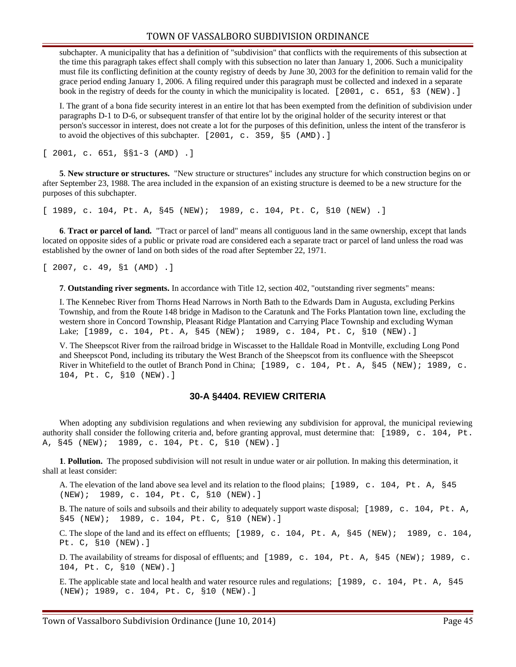#### TOWN OF VASSALBORO SUBDIVISION ORDINANCE

subchapter. A municipality that has a definition of "subdivision" that conflicts with the requirements of this subsection at the time this paragraph takes effect shall comply with this subsection no later than January 1, 2006. Such a municipality must file its conflicting definition at the county registry of deeds by June 30, 2003 for the definition to remain valid for the grace period ending January 1, 2006. A filing required under this paragraph must be collected and indexed in a separate book in the registry of deeds for the county in which the municipality is located. [2001, c. 651, §3 (NEW).]

I. The grant of a bona fide security interest in an entire lot that has been exempted from the definition of subdivision under paragraphs D-1 to D-6, or subsequent transfer of that entire lot by the original holder of the security interest or that person's successor in interest, does not create a lot for the purposes of this definition, unless the intent of the transferor is to avoid the objectives of this subchapter. [2001, c. 359, §5 (AMD).]

[ 2001, c. 651, §§1-3 (AMD) .]

**5**. **New structure or structures.** "New structure or structures" includes any structure for which construction begins on or after September 23, 1988. The area included in the expansion of an existing structure is deemed to be a new structure for the purposes of this subchapter.

[ 1989, c. 104, Pt. A, §45 (NEW); 1989, c. 104, Pt. C, §10 (NEW) .]

**6**. **Tract or parcel of land.** "Tract or parcel of land" means all contiguous land in the same ownership, except that lands located on opposite sides of a public or private road are considered each a separate tract or parcel of land unless the road was established by the owner of land on both sides of the road after September 22, 1971.

[ 2007, c. 49, §1 (AMD) .]

**7**. **Outstanding river segments.** In accordance with Title 12, section 402, "outstanding river segments" means:

I. The Kennebec River from Thorns Head Narrows in North Bath to the Edwards Dam in Augusta, excluding Perkins Township, and from the Route 148 bridge in Madison to the Caratunk and The Forks Plantation town line, excluding the western shore in Concord Township, Pleasant Ridge Plantation and Carrying Place Township and excluding Wyman Lake; [1989, c. 104, Pt. A, §45 (NEW); 1989, c. 104, Pt. C, §10 (NEW).]

V. The Sheepscot River from the railroad bridge in Wiscasset to the Halldale Road in Montville, excluding Long Pond and Sheepscot Pond, including its tributary the West Branch of the Sheepscot from its confluence with the Sheepscot River in Whitefield to the outlet of Branch Pond in China; [1989, c. 104, Pt. A, §45 (NEW); 1989, c. 104, Pt. C, §10 (NEW).]

#### **30-A §4404. REVIEW CRITERIA**

When adopting any subdivision regulations and when reviewing any subdivision for approval, the municipal reviewing authority shall consider the following criteria and, before granting approval, must determine that: [1989, c. 104, Pt. A, §45 (NEW); 1989, c. 104, Pt. C, §10 (NEW).]

**1**. **Pollution.** The proposed subdivision will not result in undue water or air pollution. In making this determination, it shall at least consider:

A. The elevation of the land above sea level and its relation to the flood plains; [1989, c. 104, Pt. A, §45 (NEW); 1989, c. 104, Pt. C, §10 (NEW).]

B. The nature of soils and subsoils and their ability to adequately support waste disposal; [1989, c. 104, Pt. A, §45 (NEW); 1989, c. 104, Pt. C, §10 (NEW).]

C. The slope of the land and its effect on effluents;  $[1989, c. 104, Pt. A, §45 (NEW); 1989, c. 104,$ Pt. C, §10 (NEW).]

D. The availability of streams for disposal of effluents; and [1989, c. 104, Pt. A, §45 (NEW); 1989, c. 104, Pt. C, §10 (NEW).]

E. The applicable state and local health and water resource rules and regulations; [1989, c. 104, Pt. A, §45 (NEW); 1989, c. 104, Pt. C, §10 (NEW).]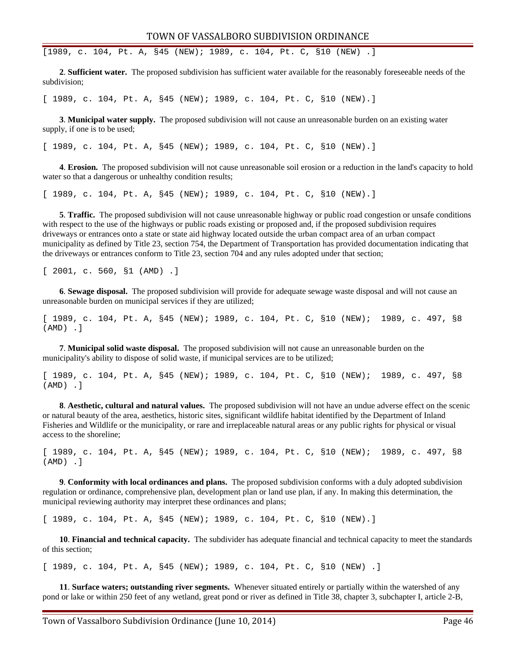[1989, c. 104, Pt. A, §45 (NEW); 1989, c. 104, Pt. C, §10 (NEW) .]

**2**. **Sufficient water.** The proposed subdivision has sufficient water available for the reasonably foreseeable needs of the subdivision;

[ 1989, c. 104, Pt. A, §45 (NEW); 1989, c. 104, Pt. C, §10 (NEW).]

**3**. **Municipal water supply.** The proposed subdivision will not cause an unreasonable burden on an existing water supply, if one is to be used;

[ 1989, c. 104, Pt. A, §45 (NEW); 1989, c. 104, Pt. C, §10 (NEW).]

**4**. **Erosion.** The proposed subdivision will not cause unreasonable soil erosion or a reduction in the land's capacity to hold water so that a dangerous or unhealthy condition results;

[ 1989, c. 104, Pt. A, §45 (NEW); 1989, c. 104, Pt. C, §10 (NEW).]

**5**. **Traffic.** The proposed subdivision will not cause unreasonable highway or public road congestion or unsafe conditions with respect to the use of the highways or public roads existing or proposed and, if the proposed subdivision requires driveways or entrances onto a state or state aid highway located outside the urban compact area of an urban compact municipality as defined by Title 23, section 754, the Department of Transportation has provided documentation indicating that the driveways or entrances conform to Title 23, section 704 and any rules adopted under that section;

[ 2001, c. 560, §1 (AMD) .]

**6**. **Sewage disposal.** The proposed subdivision will provide for adequate sewage waste disposal and will not cause an unreasonable burden on municipal services if they are utilized;

[ 1989, c. 104, Pt. A, §45 (NEW); 1989, c. 104, Pt. C, §10 (NEW); 1989, c. 497, §8 (AMD) .]

**7**. **Municipal solid waste disposal.** The proposed subdivision will not cause an unreasonable burden on the municipality's ability to dispose of solid waste, if municipal services are to be utilized;

[ 1989, c. 104, Pt. A, §45 (NEW); 1989, c. 104, Pt. C, §10 (NEW); 1989, c. 497, §8 (AMD) .]

**8**. **Aesthetic, cultural and natural values.** The proposed subdivision will not have an undue adverse effect on the scenic or natural beauty of the area, aesthetics, historic sites, significant wildlife habitat identified by the Department of Inland Fisheries and Wildlife or the municipality, or rare and irreplaceable natural areas or any public rights for physical or visual access to the shoreline;

[ 1989, c. 104, Pt. A, §45 (NEW); 1989, c. 104, Pt. C, §10 (NEW); 1989, c. 497, §8 (AMD) .]

**9**. **Conformity with local ordinances and plans.** The proposed subdivision conforms with a duly adopted subdivision regulation or ordinance, comprehensive plan, development plan or land use plan, if any. In making this determination, the municipal reviewing authority may interpret these ordinances and plans;

[ 1989, c. 104, Pt. A, §45 (NEW); 1989, c. 104, Pt. C, §10 (NEW).]

**10**. **Financial and technical capacity.** The subdivider has adequate financial and technical capacity to meet the standards of this section;

[ 1989, c. 104, Pt. A, §45 (NEW); 1989, c. 104, Pt. C, §10 (NEW) .]

**11**. **Surface waters; outstanding river segments.** Whenever situated entirely or partially within the watershed of any pond or lake or within 250 feet of any wetland, great pond or river as defined in Title 38, chapter 3, subchapter I, article 2-B,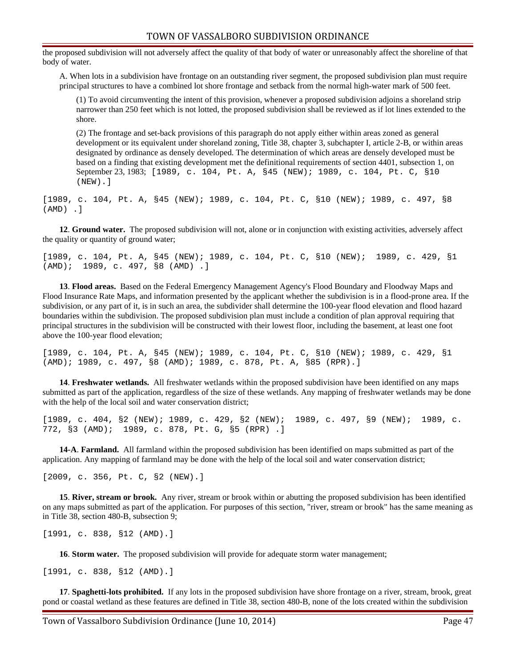the proposed subdivision will not adversely affect the quality of that body of water or unreasonably affect the shoreline of that body of water.

A. When lots in a subdivision have frontage on an outstanding river segment, the proposed subdivision plan must require principal structures to have a combined lot shore frontage and setback from the normal high-water mark of 500 feet.

(1) To avoid circumventing the intent of this provision, whenever a proposed subdivision adjoins a shoreland strip narrower than 250 feet which is not lotted, the proposed subdivision shall be reviewed as if lot lines extended to the shore.

(2) The frontage and set-back provisions of this paragraph do not apply either within areas zoned as general development or its equivalent under shoreland zoning, Title 38, chapter 3, subchapter I, article 2-B, or within areas designated by ordinance as densely developed. The determination of which areas are densely developed must be based on a finding that existing development met the definitional requirements of section 4401, subsection 1, on September 23, 1983; [1989, c. 104, Pt. A, §45 (NEW); 1989, c. 104, Pt. C, §10 (NEW).]

[1989, c. 104, Pt. A, §45 (NEW); 1989, c. 104, Pt. C, §10 (NEW); 1989, c. 497, §8 (AMD) .]

**12**. **Ground water.** The proposed subdivision will not, alone or in conjunction with existing activities, adversely affect the quality or quantity of ground water;

[1989, c. 104, Pt. A, §45 (NEW); 1989, c. 104, Pt. C, §10 (NEW); 1989, c. 429, §1 (AMD); 1989, c. 497, §8 (AMD) .]

**13**. **Flood areas.** Based on the Federal Emergency Management Agency's Flood Boundary and Floodway Maps and Flood Insurance Rate Maps, and information presented by the applicant whether the subdivision is in a flood-prone area. If the subdivision, or any part of it, is in such an area, the subdivider shall determine the 100-year flood elevation and flood hazard boundaries within the subdivision. The proposed subdivision plan must include a condition of plan approval requiring that principal structures in the subdivision will be constructed with their lowest floor, including the basement, at least one foot above the 100-year flood elevation;

[1989, c. 104, Pt. A, §45 (NEW); 1989, c. 104, Pt. C, §10 (NEW); 1989, c. 429, §1 (AMD); 1989, c. 497, §8 (AMD); 1989, c. 878, Pt. A, §85 (RPR).]

**14**. **Freshwater wetlands.** All freshwater wetlands within the proposed subdivision have been identified on any maps submitted as part of the application, regardless of the size of these wetlands. Any mapping of freshwater wetlands may be done with the help of the local soil and water conservation district;

[1989, c. 404, §2 (NEW); 1989, c. 429, §2 (NEW); 1989, c. 497, §9 (NEW); 1989, c. 772, §3 (AMD); 1989, c. 878, Pt. G, §5 (RPR) .]

**14-A**. **Farmland.** All farmland within the proposed subdivision has been identified on maps submitted as part of the application. Any mapping of farmland may be done with the help of the local soil and water conservation district;

[2009, c. 356, Pt. C, §2 (NEW).]

**15**. **River, stream or brook.** Any river, stream or brook within or abutting the proposed subdivision has been identified on any maps submitted as part of the application. For purposes of this section, "river, stream or brook" has the same meaning as in Title 38, section 480-B, subsection 9;

[1991, c. 838, §12 (AMD).]

**16**. **Storm water.** The proposed subdivision will provide for adequate storm water management;

[1991, c. 838, §12 (AMD).]

**17**. **Spaghetti-lots prohibited.** If any lots in the proposed subdivision have shore frontage on a river, stream, brook, great pond or coastal wetland as these features are defined in Title 38, section 480-B, none of the lots created within the subdivision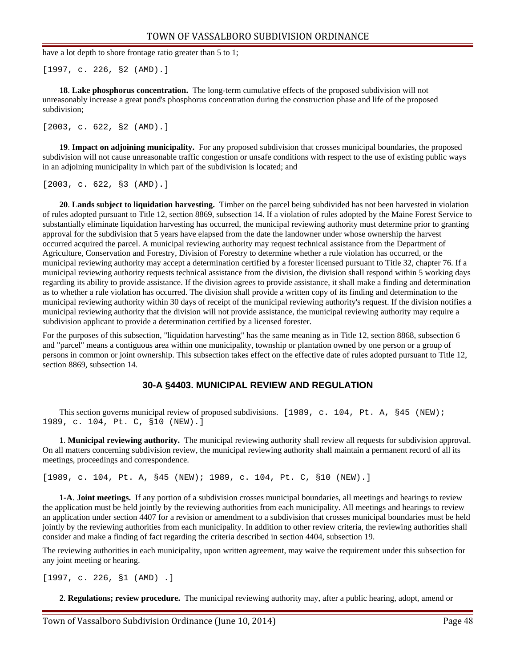have a lot depth to shore frontage ratio greater than 5 to 1;

[1997, c. 226, §2 (AMD).]

**18**. **Lake phosphorus concentration.** The long-term cumulative effects of the proposed subdivision will not unreasonably increase a great pond's phosphorus concentration during the construction phase and life of the proposed subdivision;

[2003, c. 622, §2 (AMD).]

**19**. **Impact on adjoining municipality.** For any proposed subdivision that crosses municipal boundaries, the proposed subdivision will not cause unreasonable traffic congestion or unsafe conditions with respect to the use of existing public ways in an adjoining municipality in which part of the subdivision is located; and

[2003, c. 622, §3 (AMD).]

**20**. **Lands subject to liquidation harvesting.** Timber on the parcel being subdivided has not been harvested in violation of rules adopted pursuant to Title 12, section 8869, subsection 14. If a violation of rules adopted by the Maine Forest Service to substantially eliminate liquidation harvesting has occurred, the municipal reviewing authority must determine prior to granting approval for the subdivision that 5 years have elapsed from the date the landowner under whose ownership the harvest occurred acquired the parcel. A municipal reviewing authority may request technical assistance from the Department of Agriculture, Conservation and Forestry, Division of Forestry to determine whether a rule violation has occurred, or the municipal reviewing authority may accept a determination certified by a forester licensed pursuant to Title 32, chapter 76. If a municipal reviewing authority requests technical assistance from the division, the division shall respond within 5 working days regarding its ability to provide assistance. If the division agrees to provide assistance, it shall make a finding and determination as to whether a rule violation has occurred. The division shall provide a written copy of its finding and determination to the municipal reviewing authority within 30 days of receipt of the municipal reviewing authority's request. If the division notifies a municipal reviewing authority that the division will not provide assistance, the municipal reviewing authority may require a subdivision applicant to provide a determination certified by a licensed forester.

For the purposes of this subsection, "liquidation harvesting" has the same meaning as in Title 12, section 8868, subsection 6 and "parcel" means a contiguous area within one municipality, township or plantation owned by one person or a group of persons in common or joint ownership. This subsection takes effect on the effective date of rules adopted pursuant to Title 12, section 8869, subsection 14.

#### **30-A §4403. MUNICIPAL REVIEW AND REGULATION**

This section governs municipal review of proposed subdivisions. [1989, c. 104, Pt. A, §45 (NEW); 1989, c. 104, Pt. C, §10 (NEW).]

**1**. **Municipal reviewing authority.** The municipal reviewing authority shall review all requests for subdivision approval. On all matters concerning subdivision review, the municipal reviewing authority shall maintain a permanent record of all its meetings, proceedings and correspondence.

[1989, c. 104, Pt. A, §45 (NEW); 1989, c. 104, Pt. C, §10 (NEW).]

**1-A**. **Joint meetings.** If any portion of a subdivision crosses municipal boundaries, all meetings and hearings to review the application must be held jointly by the reviewing authorities from each municipality. All meetings and hearings to review an application under section 4407 for a revision or amendment to a subdivision that crosses municipal boundaries must be held jointly by the reviewing authorities from each municipality. In addition to other review criteria, the reviewing authorities shall consider and make a finding of fact regarding the criteria described in section 4404, subsection 19.

The reviewing authorities in each municipality, upon written agreement, may waive the requirement under this subsection for any joint meeting or hearing.

[1997, c. 226, §1 (AMD) .]

**2**. **Regulations; review procedure.** The municipal reviewing authority may, after a public hearing, adopt, amend or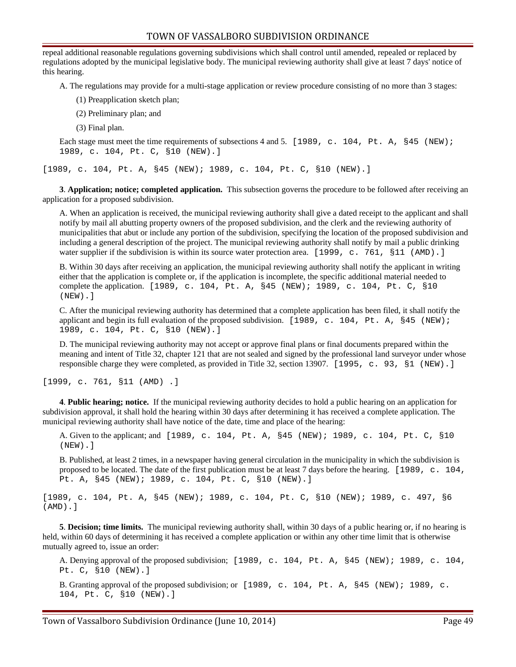repeal additional reasonable regulations governing subdivisions which shall control until amended, repealed or replaced by regulations adopted by the municipal legislative body. The municipal reviewing authority shall give at least 7 days' notice of this hearing.

A. The regulations may provide for a multi-stage application or review procedure consisting of no more than 3 stages:

- (1) Preapplication sketch plan;
- (2) Preliminary plan; and
- (3) Final plan.

Each stage must meet the time requirements of subsections 4 and 5. [1989, c. 104, Pt. A, §45 (NEW); 1989, c. 104, Pt. C, §10 (NEW).]

[1989, c. 104, Pt. A, §45 (NEW); 1989, c. 104, Pt. C, §10 (NEW).]

**3**. **Application; notice; completed application.** This subsection governs the procedure to be followed after receiving an application for a proposed subdivision.

A. When an application is received, the municipal reviewing authority shall give a dated receipt to the applicant and shall notify by mail all abutting property owners of the proposed subdivision, and the clerk and the reviewing authority of municipalities that abut or include any portion of the subdivision, specifying the location of the proposed subdivision and including a general description of the project. The municipal reviewing authority shall notify by mail a public drinking water supplier if the subdivision is within its source water protection area. [1999, c. 761, §11 (AMD).]

B. Within 30 days after receiving an application, the municipal reviewing authority shall notify the applicant in writing either that the application is complete or, if the application is incomplete, the specific additional material needed to complete the application. [1989, c. 104, Pt. A, §45 (NEW); 1989, c. 104, Pt. C, §10 (NEW).]

C. After the municipal reviewing authority has determined that a complete application has been filed, it shall notify the applicant and begin its full evaluation of the proposed subdivision. [1989, c. 104, Pt. A, §45 (NEW); 1989, c. 104, Pt. C, §10 (NEW).]

D. The municipal reviewing authority may not accept or approve final plans or final documents prepared within the meaning and intent of Title 32, chapter 121 that are not sealed and signed by the professional land surveyor under whose responsible charge they were completed, as provided in Title 32, section 13907. [1995, c. 93, §1 (NEW).]

[1999, c. 761, §11 (AMD) .]

**4**. **Public hearing; notice.** If the municipal reviewing authority decides to hold a public hearing on an application for subdivision approval, it shall hold the hearing within 30 days after determining it has received a complete application. The municipal reviewing authority shall have notice of the date, time and place of the hearing:

A. Given to the applicant; and [1989, c. 104, Pt. A, §45 (NEW); 1989, c. 104, Pt. C, §10 (NEW).]

B. Published, at least 2 times, in a newspaper having general circulation in the municipality in which the subdivision is proposed to be located. The date of the first publication must be at least 7 days before the hearing.  $[1989, c. 104,$ Pt. A, §45 (NEW); 1989, c. 104, Pt. C, §10 (NEW).]

[1989, c. 104, Pt. A, §45 (NEW); 1989, c. 104, Pt. C, §10 (NEW); 1989, c. 497, §6 (AMD).]

**5**. **Decision; time limits.** The municipal reviewing authority shall, within 30 days of a public hearing or, if no hearing is held, within 60 days of determining it has received a complete application or within any other time limit that is otherwise mutually agreed to, issue an order:

A. Denying approval of the proposed subdivision; [1989, c. 104, Pt. A, §45 (NEW); 1989, c. 104, Pt. C, §10 (NEW).]

B. Granting approval of the proposed subdivision; or [1989, c. 104, Pt. A, §45 (NEW); 1989, c. 104, Pt. C, §10 (NEW).]